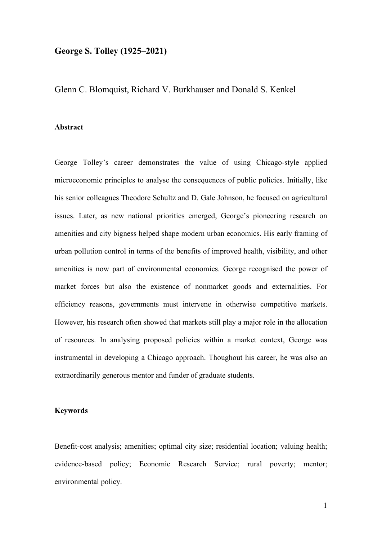# **George S. Tolley (1925–2021)**

Glenn C. Blomquist, Richard V. Burkhauser and Donald S. Kenkel

### **Abstract**

George Tolley's career demonstrates the value of using Chicago-style applied microeconomic principles to analyse the consequences of public policies. Initially, like his senior colleagues Theodore Schultz and D. Gale Johnson, he focused on agricultural issues. Later, as new national priorities emerged, George's pioneering research on amenities and city bigness helped shape modern urban economics. His early framing of urban pollution control in terms of the benefits of improved health, visibility, and other amenities is now part of environmental economics. George recognised the power of market forces but also the existence of nonmarket goods and externalities. For efficiency reasons, governments must intervene in otherwise competitive markets. However, his research often showed that markets still play a major role in the allocation of resources. In analysing proposed policies within a market context, George was instrumental in developing a Chicago approach. Thoughout his career, he was also an extraordinarily generous mentor and funder of graduate students.

## **Keywords**

Benefit-cost analysis; amenities; optimal city size; residential location; valuing health; evidence-based policy; Economic Research Service; rural poverty; mentor; environmental policy.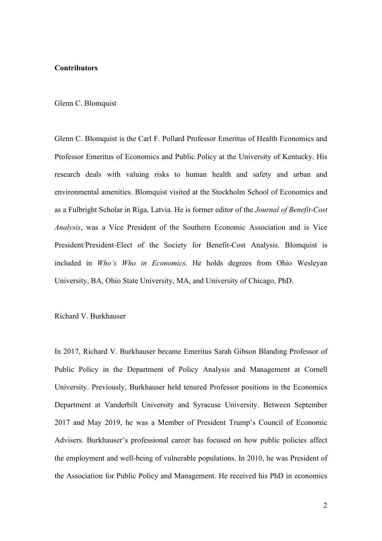## **Contributors**

#### Glenn C. Blomquist

Glenn C. Blomquist is the Carl F. Pollard Professor Emeritus of Health Economics and Professor Emeritus of Economics and Public Policy at the University of Kentucky. His research deals with valuing risks to human health and safety and urban and environmental amenities. Blomquist visited at the Stockholm School of Economics and as a Fulbright Scholar in Riga, Latvia. He is former editor of the *Journal of Benefit-Cost Analysis*, was a Vice President of the Southern Economic Association and is Vice President/President-Elect of the Society for Benefit-Cost Analysis. Blomquist is included in *Who's Who in Economics*. He holds degrees from [Ohio Wesleyan](http://web.owu.edu/)  [University,](http://web.owu.edu/) BA, [Ohio State University,](http://www.osu.edu/) MA, and [University of Chicago,](http://www.uchicago.edu/) PhD.

### Richard V. Burkhauser

In 2017, Richard V. Burkhauser became Emeritus Sarah Gibson Blanding Professor of Public Policy in the Department of Policy Analysis and Management at Cornell University. Previously, Burkhauser held tenured Professor positions in the Economics Department at Vanderbilt University and Syracuse University. Between September 2017 and May 2019, he was a Member of President Trump's Council of Economic Advisers. Burkhauser's professional career has focused on how public policies affect the employment and well-being of vulnerable populations. In 2010, he was President of the Association for Public Policy and Management. He received his PhD in economics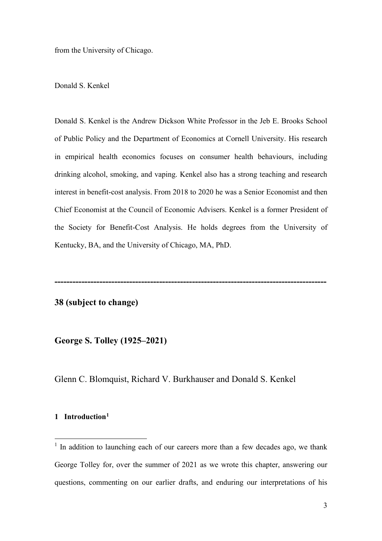from the University of Chicago.

# Donald S. Kenkel

Donald S. Kenkel is the Andrew Dickson White Professor in the Jeb E. Brooks School of Public Policy and the Department of Economics at Cornell University. His research in empirical health economics focuses on consumer health behaviours, including drinking alcohol, smoking, and vaping. Kenkel also has a strong teaching and research interest in benefit-cost analysis. From 2018 to 2020 he was a Senior Economist and then Chief Economist at the Council of Economic Advisers. Kenkel is a former President of the Society for Benefit-Cost Analysis. He holds degrees from the University of Kentucky, BA, and the University of Chicago, MA, PhD.

**-------------------------------------------------------------------------------------------**

## **38 (subject to change)**

**George S. Tolley (1925–2021)**

Glenn C. Blomquist, Richard V. Burkhauser and Donald S. Kenkel

# **1 Introduction[1](#page-2-0)**

<span id="page-2-0"></span> $1$  In addition to launching each of our careers more than a few decades ago, we thank George Tolley for, over the summer of 2021 as we wrote this chapter, answering our questions, commenting on our earlier drafts, and enduring our interpretations of his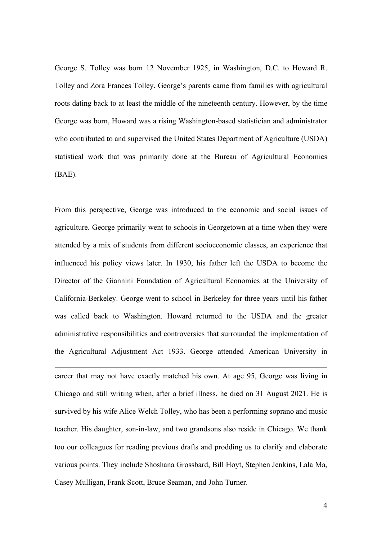George S. Tolley was born 12 November 1925, in Washington, D.C. to Howard R. Tolley and Zora Frances Tolley. George's parents came from families with agricultural roots dating back to at least the middle of the nineteenth century. However, by the time George was born, Howard was a rising Washington-based statistician and administrator who contributed to and supervised the United States Department of Agriculture (USDA) statistical work that was primarily done at the Bureau of Agricultural Economics (BAE).

From this perspective, George was introduced to the economic and social issues of agriculture. George primarily went to schools in Georgetown at a time when they were attended by a mix of students from different socioeconomic classes, an experience that influenced his policy views later. In 1930, his father left the USDA to become the Director of the Giannini Foundation of Agricultural Economics at the University of California-Berkeley. George went to school in Berkeley for three years until his father was called back to Washington. Howard returned to the USDA and the greater administrative responsibilities and controversies that surrounded the implementation of the Agricultural Adjustment Act 1933. George attended American University in

career that may not have exactly matched his own. At age 95, George was living in Chicago and still writing when, after a brief illness, he died on 31 August 2021. He is survived by his wife Alice Welch Tolley, who has been a performing soprano and music teacher. His daughter, son-in-law, and two grandsons also reside in Chicago. We thank too our colleagues for reading previous drafts and prodding us to clarify and elaborate various points. They include Shoshana Grossbard, Bill Hoyt, Stephen Jenkins, Lala Ma, Casey Mulligan, Frank Scott, Bruce Seaman, and John Turner.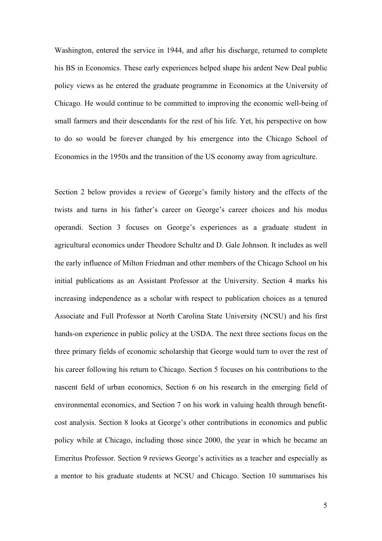Washington, entered the service in 1944, and after his discharge, returned to complete his BS in Economics. These early experiences helped shape his ardent New Deal public policy views as he entered the graduate programme in Economics at the University of Chicago. He would continue to be committed to improving the economic well-being of small farmers and their descendants for the rest of his life. Yet, his perspective on how to do so would be forever changed by his emergence into the Chicago School of Economics in the 1950s and the transition of the US economy away from agriculture.

Section 2 below provides a review of George's family history and the effects of the twists and turns in his father's career on George's career choices and his modus operandi. Section 3 focuses on George's experiences as a graduate student in agricultural economics under Theodore Schultz and D. Gale Johnson. It includes as well the early influence of Milton Friedman and other members of the Chicago School on his initial publications as an Assistant Professor at the University. Section 4 marks his increasing independence as a scholar with respect to publication choices as a tenured Associate and Full Professor at North Carolina State University (NCSU) and his first hands-on experience in public policy at the USDA. The next three sections focus on the three primary fields of economic scholarship that George would turn to over the rest of his career following his return to Chicago. Section 5 focuses on his contributions to the nascent field of urban economics, Section 6 on his research in the emerging field of environmental economics, and Section 7 on his work in valuing health through benefitcost analysis. Section 8 looks at George's other contributions in economics and public policy while at Chicago, including those since 2000, the year in which he became an Emeritus Professor. Section 9 reviews George's activities as a teacher and especially as a mentor to his graduate students at NCSU and Chicago. Section 10 summarises his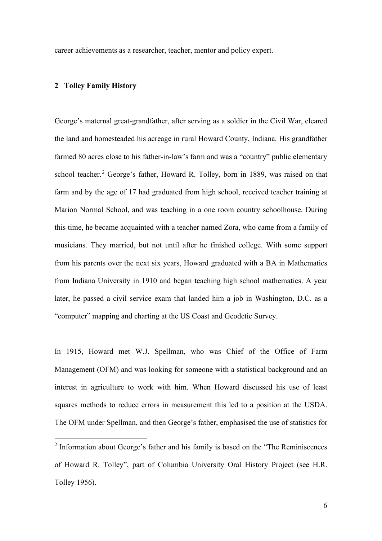career achievements as a researcher, teacher, mentor and policy expert.

### **2 Tolley Family History**

George's maternal great-grandfather, after serving as a soldier in the Civil War, cleared the land and homesteaded his acreage in rural Howard County, Indiana. His grandfather farmed 80 acres close to his father-in-law's farm and was a "country" public elementary school teacher.<sup>[2](#page-5-0)</sup> George's father, Howard R. Tolley, born in 1889, was raised on that farm and by the age of 17 had graduated from high school, received teacher training at Marion Normal School, and was teaching in a one room country schoolhouse. During this time, he became acquainted with a teacher named Zora, who came from a family of musicians. They married, but not until after he finished college. With some support from his parents over the next six years, Howard graduated with a BA in Mathematics from Indiana University in 1910 and began teaching high school mathematics. A year later, he passed a civil service exam that landed him a job in Washington, D.C. as a "computer" mapping and charting at the US Coast and Geodetic Survey.

In 1915, Howard met W.J. Spellman, who was Chief of the Office of Farm Management (OFM) and was looking for someone with a statistical background and an interest in agriculture to work with him. When Howard discussed his use of least squares methods to reduce errors in measurement this led to a position at the USDA. The OFM under Spellman, and then George's father, emphasised the use of statistics for

<span id="page-5-0"></span><sup>2</sup> Information about George's father and his family is based on the "The Reminiscences of Howard R. Tolley", part of Columbia University Oral History Project (see H.R. Tolley 1956).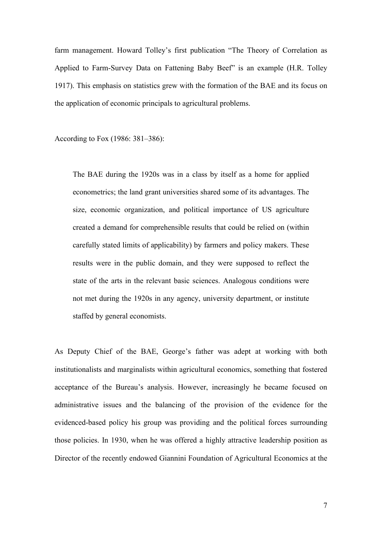farm management. Howard Tolley's first publication "The Theory of Correlation as Applied to Farm-Survey Data on Fattening Baby Beef" is an example (H.R. Tolley 1917). This emphasis on statistics grew with the formation of the BAE and its focus on the application of economic principals to agricultural problems.

According to Fox (1986: 381–386):

The BAE during the 1920s was in a class by itself as a home for applied econometrics; the land grant universities shared some of its advantages. The size, economic organization, and political importance of US agriculture created a demand for comprehensible results that could be relied on (within carefully stated limits of applicability) by farmers and policy makers. These results were in the public domain, and they were supposed to reflect the state of the arts in the relevant basic sciences. Analogous conditions were not met during the 1920s in any agency, university department, or institute staffed by general economists.

As Deputy Chief of the BAE, George's father was adept at working with both institutionalists and marginalists within agricultural economics, something that fostered acceptance of the Bureau's analysis. However, increasingly he became focused on administrative issues and the balancing of the provision of the evidence for the evidenced-based policy his group was providing and the political forces surrounding those policies. In 1930, when he was offered a highly attractive leadership position as Director of the recently endowed Giannini Foundation of Agricultural Economics at the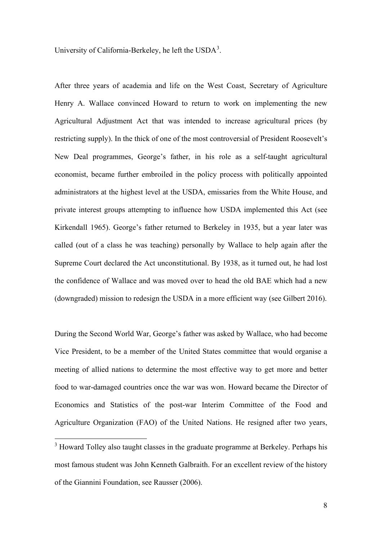University of California-Berkeley, he left the USDA<sup>[3](#page-7-0)</sup>.

After three years of academia and life on the West Coast, Secretary of Agriculture Henry A. Wallace convinced Howard to return to work on implementing the new Agricultural Adjustment Act that was intended to increase agricultural prices (by restricting supply). In the thick of one of the most controversial of President Roosevelt's New Deal programmes, George's father, in his role as a self-taught agricultural economist, became further embroiled in the policy process with politically appointed administrators at the highest level at the USDA, emissaries from the White House, and private interest groups attempting to influence how USDA implemented this Act (see Kirkendall 1965). George's father returned to Berkeley in 1935, but a year later was called (out of a class he was teaching) personally by Wallace to help again after the Supreme Court declared the Act unconstitutional. By 1938, as it turned out, he had lost the confidence of Wallace and was moved over to head the old BAE which had a new (downgraded) mission to redesign the USDA in a more efficient way (see Gilbert 2016).

During the Second World War, George's father was asked by Wallace, who had become Vice President, to be a member of the United States committee that would organise a meeting of allied nations to determine the most effective way to get more and better food to war-damaged countries once the war was won. Howard became the Director of Economics and Statistics of the post-war Interim Committee of the Food and Agriculture Organization (FAO) of the United Nations. He resigned after two years,

<span id="page-7-0"></span><sup>&</sup>lt;sup>3</sup> Howard Tolley also taught classes in the graduate programme at Berkeley. Perhaps his most famous student was John Kenneth Galbraith. For an excellent review of the history of the Giannini Foundation, see Rausser (2006).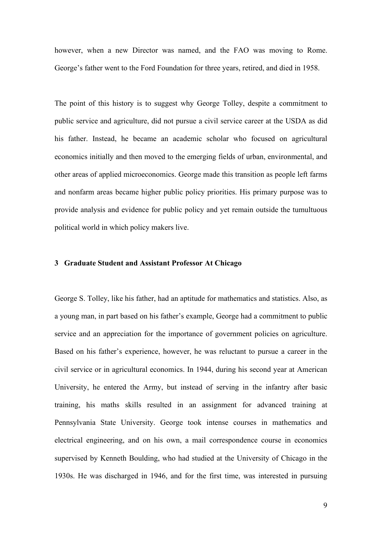however, when a new Director was named, and the FAO was moving to Rome. George's father went to the Ford Foundation for three years, retired, and died in 1958.

The point of this history is to suggest why George Tolley, despite a commitment to public service and agriculture, did not pursue a civil service career at the USDA as did his father. Instead, he became an academic scholar who focused on agricultural economics initially and then moved to the emerging fields of urban, environmental, and other areas of applied microeconomics. George made this transition as people left farms and nonfarm areas became higher public policy priorities. His primary purpose was to provide analysis and evidence for public policy and yet remain outside the tumultuous political world in which policy makers live.

### **3 Graduate Student and Assistant Professor At Chicago**

George S. Tolley, like his father, had an aptitude for mathematics and statistics. Also, as a young man, in part based on his father's example, George had a commitment to public service and an appreciation for the importance of government policies on agriculture. Based on his father's experience, however, he was reluctant to pursue a career in the civil service or in agricultural economics. In 1944, during his second year at American University, he entered the Army, but instead of serving in the infantry after basic training, his maths skills resulted in an assignment for advanced training at Pennsylvania State University. George took intense courses in mathematics and electrical engineering, and on his own, a mail correspondence course in economics supervised by Kenneth Boulding, who had studied at the University of Chicago in the 1930s. He was discharged in 1946, and for the first time, was interested in pursuing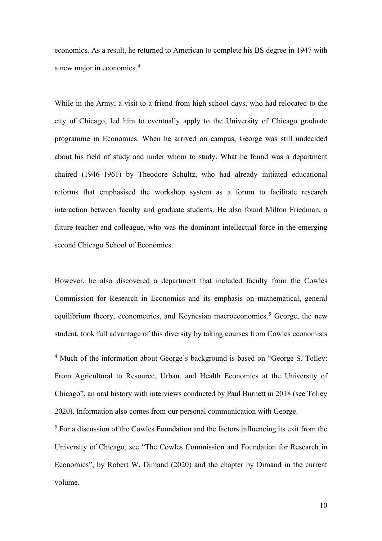economics. As a result, he returned to American to complete his BS degree in 1947 with a new major in economics.[4](#page-9-0)

While in the Army, a visit to a friend from high school days, who had relocated to the city of Chicago, led him to eventually apply to the University of Chicago graduate programme in Economics. When he arrived on campus, George was still undecided about his field of study and under whom to study. What he found was a department chaired (1946–1961) by Theodore Schultz, who had already initiated educational reforms that emphasised the workshop system as a forum to facilitate research interaction between faculty and graduate students. He also found Milton Friedman, a future teacher and colleague, who was the dominant intellectual force in the emerging second Chicago School of Economics.

However, he also discovered a department that included faculty from the Cowles Commission for Research in Economics and its emphasis on mathematical, general equilibrium theory, econometrics, and Keynesian macroeconomics.<sup>[5](#page-9-1)</sup> George, the new student, took full advantage of this diversity by taking courses from Cowles economists

<span id="page-9-1"></span><sup>5</sup> For a discussion of the Cowles Foundation and the factors influencing its exit from the University of Chicago, see "The Cowles Commission and Foundation for Research in Economics", by Robert W. Dimand (2020) and the chapter by Dimand in the current volume.

<span id="page-9-0"></span><sup>&</sup>lt;sup>4</sup> Much of the information about George's background is based on "George S. Tolley: From Agricultural to Resource, Urban, and Health Economics at the University of Chicago", an oral history with interviews conducted by Paul Burnett in 2018 (see Tolley 2020). Information also comes from our personal communication with George.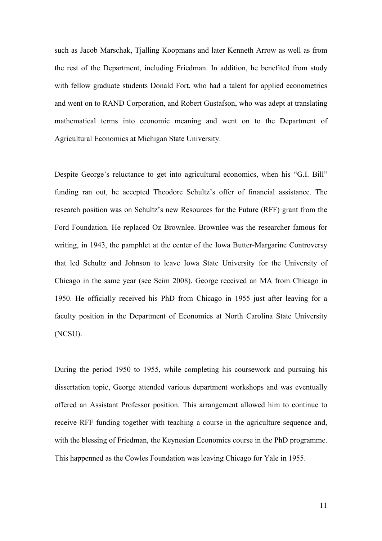such as Jacob Marschak, Tjalling Koopmans and later Kenneth Arrow as well as from the rest of the Department, including Friedman. In addition, he benefited from study with fellow graduate students Donald Fort, who had a talent for applied econometrics and went on to RAND Corporation, and Robert Gustafson, who was adept at translating mathematical terms into economic meaning and went on to the Department of Agricultural Economics at Michigan State University.

Despite George's reluctance to get into agricultural economics, when his "G.I. Bill" funding ran out, he accepted Theodore Schultz's offer of financial assistance. The research position was on Schultz's new Resources for the Future (RFF) grant from the Ford Foundation. He replaced Oz Brownlee. Brownlee was the researcher famous for writing, in 1943, the pamphlet at the center of the Iowa Butter-Margarine Controversy that led Schultz and Johnson to leave Iowa State University for the University of Chicago in the same year (see Seim 2008). George received an MA from Chicago in 1950. He officially received his PhD from Chicago in 1955 just after leaving for a faculty position in the Department of Economics at North Carolina State University (NCSU).

During the period 1950 to 1955, while completing his coursework and pursuing his dissertation topic, George attended various department workshops and was eventually offered an Assistant Professor position. This arrangement allowed him to continue to receive RFF funding together with teaching a course in the agriculture sequence and, with the blessing of Friedman, the Keynesian Economics course in the PhD programme. This happenned as the Cowles Foundation was leaving Chicago for Yale in 1955.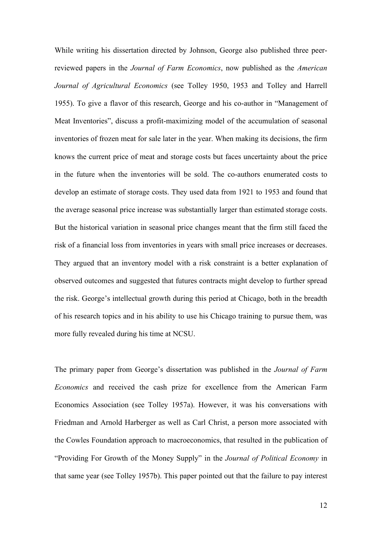While writing his dissertation directed by Johnson, George also published three peerreviewed papers in the *Journal of Farm Economics*, now published as the *American Journal of Agricultural Economics* (see Tolley 1950, 1953 and Tolley and Harrell 1955). To give a flavor of this research, George and his co-author in "Management of Meat Inventories", discuss a profit-maximizing model of the accumulation of seasonal inventories of frozen meat for sale later in the year. When making its decisions, the firm knows the current price of meat and storage costs but faces uncertainty about the price in the future when the inventories will be sold. The co-authors enumerated costs to develop an estimate of storage costs. They used data from 1921 to 1953 and found that the average seasonal price increase was substantially larger than estimated storage costs. But the historical variation in seasonal price changes meant that the firm still faced the risk of a financial loss from inventories in years with small price increases or decreases. They argued that an inventory model with a risk constraint is a better explanation of observed outcomes and suggested that futures contracts might develop to further spread the risk. George's intellectual growth during this period at Chicago, both in the breadth of his research topics and in his ability to use his Chicago training to pursue them, was more fully revealed during his time at NCSU.

The primary paper from George's dissertation was published in the *Journal of Farm Economics* and received the cash prize for excellence from the American Farm Economics Association (see Tolley 1957a). However, it was his conversations with Friedman and Arnold Harberger as well as Carl Christ, a person more associated with the Cowles Foundation approach to macroeconomics, that resulted in the publication of "Providing For Growth of the Money Supply" in the *Journal of Political Economy* in that same year (see Tolley 1957b). This paper pointed out that the failure to pay interest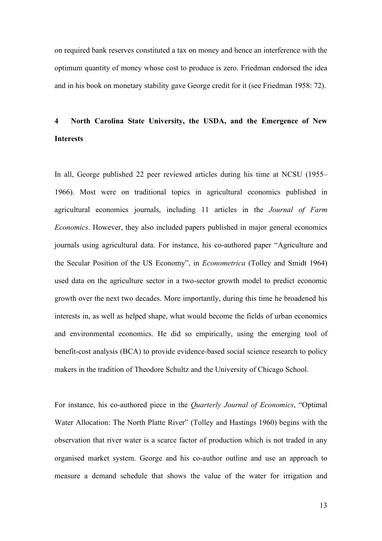on required bank reserves constituted a tax on money and hence an interference with the optimum quantity of money whose cost to produce is zero. Friedman endorsed the idea and in his book on monetary stability gave George credit for it (see Friedman 1958: 72).

# **4 North Carolina State University, the USDA, and the Emergence of New Interests**

In all, George published 22 peer reviewed articles during his time at NCSU (1955– 1966). Most were on traditional topics in agricultural economics published in agricultural economics journals, including 11 articles in the *Journal of Farm Economics*. However, they also included papers published in major general economics journals using agricultural data. For instance, his co-authored paper "Agriculture and the Secular Position of the US Economy", in *Econometrica* (Tolley and Smidt 1964) used data on the agriculture sector in a two-sector growth model to predict economic growth over the next two decades. More importantly, during this time he broadened his interests in, as well as helped shape, what would become the fields of urban economics and environmental economics. He did so empirically, using the emerging tool of benefit-cost analysis (BCA) to provide evidence-based social science research to policy makers in the tradition of Theodore Schultz and the University of Chicago School.

For instance, his co-authored piece in the *Quarterly Journal of Economics*, "Optimal Water Allocation: The North Platte River" (Tolley and Hastings 1960) begins with the observation that river water is a scarce factor of production which is not traded in any organised market system. George and his co-author outline and use an approach to measure a demand schedule that shows the value of the water for irrigation and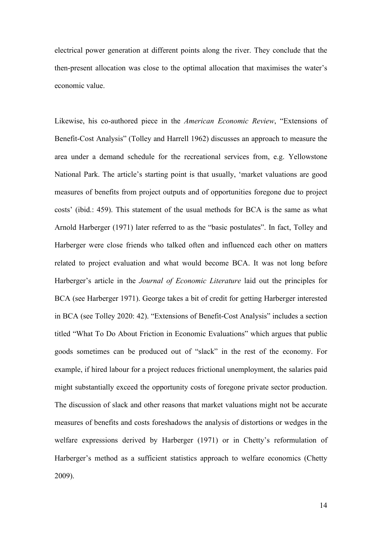electrical power generation at different points along the river. They conclude that the then-present allocation was close to the optimal allocation that maximises the water's economic value.

Likewise, his co-authored piece in the *American Economic Review*, "Extensions of Benefit-Cost Analysis" (Tolley and Harrell 1962) discusses an approach to measure the area under a demand schedule for the recreational services from, e.g. Yellowstone National Park. The article's starting point is that usually, 'market valuations are good measures of benefits from project outputs and of opportunities foregone due to project costs' (ibid.: 459). This statement of the usual methods for BCA is the same as what Arnold Harberger (1971) later referred to as the "basic postulates". In fact, Tolley and Harberger were close friends who talked often and influenced each other on matters related to project evaluation and what would become BCA. It was not long before Harberger's article in the *Journal of Economic Literature* laid out the principles for BCA (see Harberger 1971). George takes a bit of credit for getting Harberger interested in BCA (see Tolley 2020: 42). "Extensions of Benefit-Cost Analysis" includes a section titled "What To Do About Friction in Economic Evaluations" which argues that public goods sometimes can be produced out of "slack" in the rest of the economy. For example, if hired labour for a project reduces frictional unemployment, the salaries paid might substantially exceed the opportunity costs of foregone private sector production. The discussion of slack and other reasons that market valuations might not be accurate measures of benefits and costs foreshadows the analysis of distortions or wedges in the welfare expressions derived by Harberger (1971) or in Chetty's reformulation of Harberger's method as a sufficient statistics approach to welfare economics (Chetty 2009).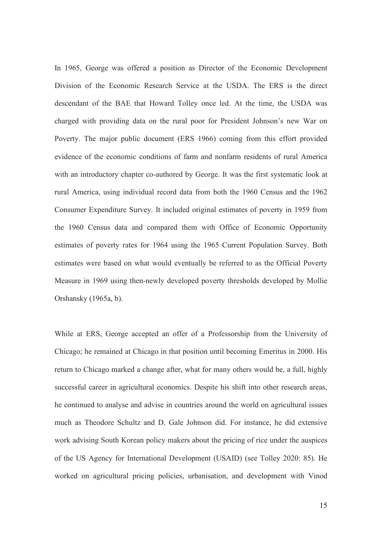In 1965, George was offered a position as Director of the Economic Development Division of the Economic Research Service at the USDA. The ERS is the direct descendant of the BAE that Howard Tolley once led. At the time, the USDA was charged with providing data on the rural poor for President Johnson's new War on Poverty. The major public document (ERS 1966) coming from this effort provided evidence of the economic conditions of farm and nonfarm residents of rural America with an introductory chapter co-authored by George. It was the first systematic look at rural America, using individual record data from both the 1960 Census and the 1962 Consumer Expenditure Survey. It included original estimates of poverty in 1959 from the 1960 Census data and compared them with Office of Economic Opportunity estimates of poverty rates for 1964 using the 1965 Current Population Survey. Both estimates were based on what would eventually be referred to as the Official Poverty Measure in 1969 using then-newly developed poverty thresholds developed by Mollie Orshansky (1965a, b).

While at ERS, George accepted an offer of a Professorship from the University of Chicago; he remained at Chicago in that position until becoming Emeritus in 2000. His return to Chicago marked a change after, what for many others would be, a full, highly successful career in agricultural economics. Despite his shift into other research areas, he continued to analyse and advise in countries around the world on agricultural issues much as Theodore Schultz and D. Gale Johnson did. For instance, he did extensive work advising South Korean policy makers about the pricing of rice under the auspices of the US Agency for International Development (USAID) (see Tolley 2020: 85). He worked on agricultural pricing policies, urbanisation, and development with Vinod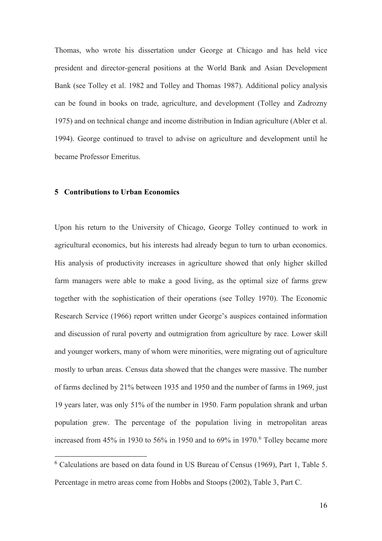Thomas, who wrote his dissertation under George at Chicago and has held vice president and director-general positions at the World Bank and Asian Development Bank (see Tolley et al. 1982 and Tolley and Thomas 1987). Additional policy analysis can be found in books on trade, agriculture, and development (Tolley and Zadrozny 1975) and on technical change and income distribution in Indian agriculture (Abler et al. 1994). George continued to travel to advise on agriculture and development until he became Professor Emeritus.

### **5 Contributions to Urban Economics**

Upon his return to the University of Chicago, George Tolley continued to work in agricultural economics, but his interests had already begun to turn to urban economics. His analysis of productivity increases in agriculture showed that only higher skilled farm managers were able to make a good living, as the optimal size of farms grew together with the sophistication of their operations (see Tolley 1970). The Economic Research Service (1966) report written under George's auspices contained information and discussion of rural poverty and outmigration from agriculture by race. Lower skill and younger workers, many of whom were minorities, were migrating out of agriculture mostly to urban areas. Census data showed that the changes were massive. The number of farms declined by 21% between 1935 and 1950 and the number of farms in 1969, just 19 years later, was only 51% of the number in 1950. Farm population shrank and urban population grew. The percentage of the population living in metropolitan areas increased from 45% in 1930 to 5[6](#page-15-0)% in 1950 and to 69% in 1970.<sup>6</sup> Tolley became more

<span id="page-15-0"></span><sup>6</sup> Calculations are based on data found in US Bureau of Census (1969), Part 1, Table 5. Percentage in metro areas come from Hobbs and Stoops (2002), Table 3, Part C.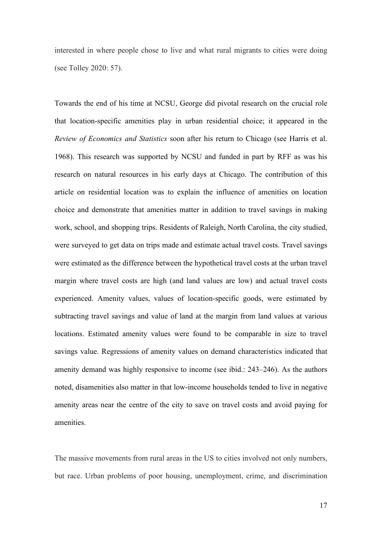interested in where people chose to live and what rural migrants to cities were doing (see Tolley 2020: 57).

Towards the end of his time at NCSU, George did pivotal research on the crucial role that location-specific amenities play in urban residential choice; it appeared in the *Review of Economics and Statistics* soon after his return to Chicago (see Harris et al. 1968). This research was supported by NCSU and funded in part by RFF as was his research on natural resources in his early days at Chicago. The contribution of this article on residential location was to explain the influence of amenities on location choice and demonstrate that amenities matter in addition to travel savings in making work, school, and shopping trips. Residents of Raleigh, North Carolina, the city studied, were surveyed to get data on trips made and estimate actual travel costs. Travel savings were estimated as the difference between the hypothetical travel costs at the urban travel margin where travel costs are high (and land values are low) and actual travel costs experienced. Amenity values, values of location-specific goods, were estimated by subtracting travel savings and value of land at the margin from land values at various locations. Estimated amenity values were found to be comparable in size to travel savings value. Regressions of amenity values on demand characteristics indicated that amenity demand was highly responsive to income (see ibid.: 243–246). As the authors noted, disamenities also matter in that low-income households tended to live in negative amenity areas near the centre of the city to save on travel costs and avoid paying for amenities.

The massive movements from rural areas in the US to cities involved not only numbers, but race. Urban problems of poor housing, unemployment, crime, and discrimination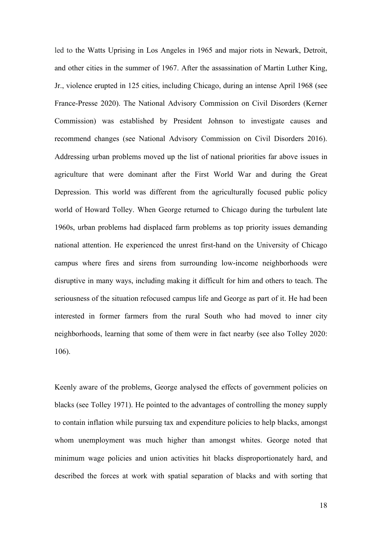led to the Watts Uprising in Los Angeles in 1965 and major riots in Newark, Detroit, and other cities in the summer of 1967. After the assassination of Martin Luther King, Jr., violence erupted in 125 cities, including Chicago, during an intense April 1968 (see France-Presse 2020). The National Advisory Commission on Civil Disorders (Kerner Commission) was established by President Johnson to investigate causes and recommend changes (see National Advisory Commission on Civil Disorders 2016). Addressing urban problems moved up the list of national priorities far above issues in agriculture that were dominant after the First World War and during the Great Depression. This world was different from the agriculturally focused public policy world of Howard Tolley. When George returned to Chicago during the turbulent late 1960s, urban problems had displaced farm problems as top priority issues demanding national attention. He experienced the unrest first-hand on the University of Chicago campus where fires and sirens from surrounding low-income neighborhoods were disruptive in many ways, including making it difficult for him and others to teach. The seriousness of the situation refocused campus life and George as part of it. He had been interested in former farmers from the rural South who had moved to inner city neighborhoods, learning that some of them were in fact nearby (see also Tolley 2020: 106).

Keenly aware of the problems, George analysed the effects of government policies on blacks (see Tolley 1971). He pointed to the advantages of controlling the money supply to contain inflation while pursuing tax and expenditure policies to help blacks, amongst whom unemployment was much higher than amongst whites. George noted that minimum wage policies and union activities hit blacks disproportionately hard, and described the forces at work with spatial separation of blacks and with sorting that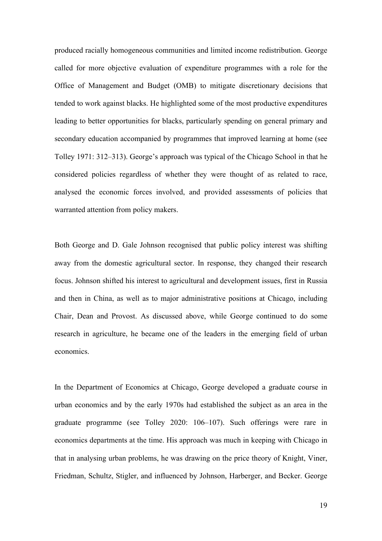produced racially homogeneous communities and limited income redistribution. George called for more objective evaluation of expenditure programmes with a role for the Office of Management and Budget (OMB) to mitigate discretionary decisions that tended to work against blacks. He highlighted some of the most productive expenditures leading to better opportunities for blacks, particularly spending on general primary and secondary education accompanied by programmes that improved learning at home (see Tolley 1971: 312–313). George's approach was typical of the Chicago School in that he considered policies regardless of whether they were thought of as related to race, analysed the economic forces involved, and provided assessments of policies that warranted attention from policy makers.

Both George and D. Gale Johnson recognised that public policy interest was shifting away from the domestic agricultural sector. In response, they changed their research focus. Johnson shifted his interest to agricultural and development issues, first in Russia and then in China, as well as to major administrative positions at Chicago, including Chair, Dean and Provost. As discussed above, while George continued to do some research in agriculture, he became one of the leaders in the emerging field of urban economics.

In the Department of Economics at Chicago, George developed a graduate course in urban economics and by the early 1970s had established the subject as an area in the graduate programme (see Tolley 2020: 106–107). Such offerings were rare in economics departments at the time. His approach was much in keeping with Chicago in that in analysing urban problems, he was drawing on the price theory of Knight, Viner, Friedman, Schultz, Stigler, and influenced by Johnson, Harberger, and Becker. George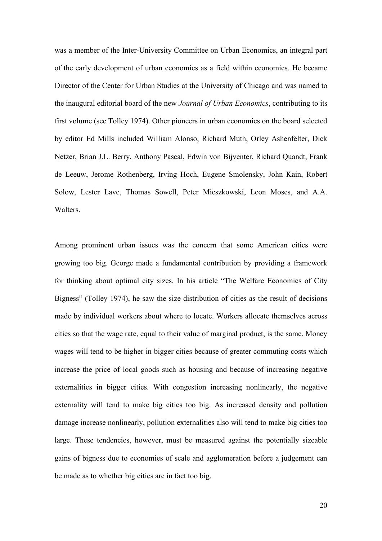was a member of the Inter-University Committee on Urban Economics, an integral part of the early development of urban economics as a field within economics. He became Director of the Center for Urban Studies at the University of Chicago and was named to the inaugural editorial board of the new *Journal of Urban Economics*, contributing to its first volume (see Tolley 1974). Other pioneers in urban economics on the board selected by editor Ed Mills included William Alonso, Richard Muth, Orley Ashenfelter, Dick Netzer, Brian J.L. Berry, Anthony Pascal, Edwin von Bijventer, Richard Quandt, Frank de Leeuw, Jerome Rothenberg, Irving Hoch, Eugene Smolensky, John Kain, Robert Solow, Lester Lave, Thomas Sowell, Peter Mieszkowski, Leon Moses, and A.A. Walters.

Among prominent urban issues was the concern that some American cities were growing too big. George made a fundamental contribution by providing a framework for thinking about optimal city sizes. In his article "The Welfare Economics of City Bigness" (Tolley 1974), he saw the size distribution of cities as the result of decisions made by individual workers about where to locate. Workers allocate themselves across cities so that the wage rate, equal to their value of marginal product, is the same. Money wages will tend to be higher in bigger cities because of greater commuting costs which increase the price of local goods such as housing and because of increasing negative externalities in bigger cities. With congestion increasing nonlinearly, the negative externality will tend to make big cities too big. As increased density and pollution damage increase nonlinearly, pollution externalities also will tend to make big cities too large. These tendencies, however, must be measured against the potentially sizeable gains of bigness due to economies of scale and agglomeration before a judgement can be made as to whether big cities are in fact too big.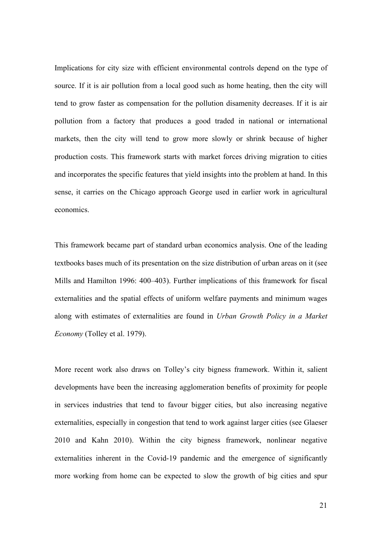Implications for city size with efficient environmental controls depend on the type of source. If it is air pollution from a local good such as home heating, then the city will tend to grow faster as compensation for the pollution disamenity decreases. If it is air pollution from a factory that produces a good traded in national or international markets, then the city will tend to grow more slowly or shrink because of higher production costs. This framework starts with market forces driving migration to cities and incorporates the specific features that yield insights into the problem at hand. In this sense, it carries on the Chicago approach George used in earlier work in agricultural economics.

This framework became part of standard urban economics analysis. One of the leading textbooks bases much of its presentation on the size distribution of urban areas on it (see Mills and Hamilton 1996: 400–403). Further implications of this framework for fiscal externalities and the spatial effects of uniform welfare payments and minimum wages along with estimates of externalities are found in *Urban Growth Policy in a Market Economy* (Tolley et al. 1979).

More recent work also draws on Tolley's city bigness framework. Within it, salient developments have been the increasing agglomeration benefits of proximity for people in services industries that tend to favour bigger cities, but also increasing negative externalities, especially in congestion that tend to work against larger cities (see Glaeser 2010 and Kahn 2010). Within the city bigness framework, nonlinear negative externalities inherent in the Covid-19 pandemic and the emergence of significantly more working from home can be expected to slow the growth of big cities and spur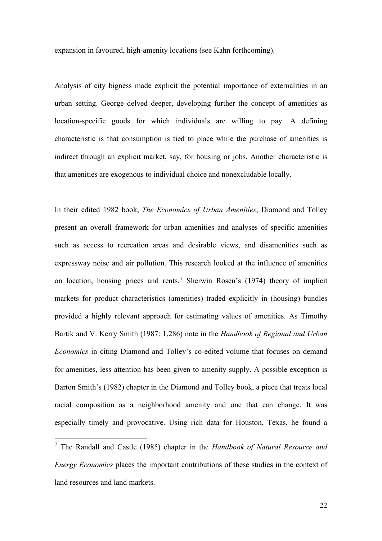expansion in favoured, high-amenity locations (see Kahn forthcoming).

Analysis of city bigness made explicit the potential importance of externalities in an urban setting. George delved deeper, developing further the concept of amenities as location-specific goods for which individuals are willing to pay. A defining characteristic is that consumption is tied to place while the purchase of amenities is indirect through an explicit market, say, for housing or jobs. Another characteristic is that amenities are exogenous to individual choice and nonexcludable locally.

In their edited 1982 book, *The Economics of Urban Amenities*, Diamond and Tolley present an overall framework for urban amenities and analyses of specific amenities such as access to recreation areas and desirable views, and disamenities such as expressway noise and air pollution. This research looked at the influence of amenities on location, housing prices and rents.<sup>[7](#page-21-0)</sup> Sherwin Rosen's (1974) theory of implicit markets for product characteristics (amenities) traded explicitly in (housing) bundles provided a highly relevant approach for estimating values of amenities. As Timothy Bartik and V. Kerry Smith (1987: 1,286) note in the *Handbook of Regional and Urban Economics* in citing Diamond and Tolley's co-edited volume that focuses on demand for amenities, less attention has been given to amenity supply. A possible exception is Barton Smith's (1982) chapter in the Diamond and Tolley book, a piece that treats local racial composition as a neighborhood amenity and one that can change. It was especially timely and provocative. Using rich data for Houston, Texas, he found a

<span id="page-21-0"></span><sup>7</sup> The Randall and Castle (1985) chapter in the *Handbook of Natural Resource and Energy Economics* places the important contributions of these studies in the context of land resources and land markets.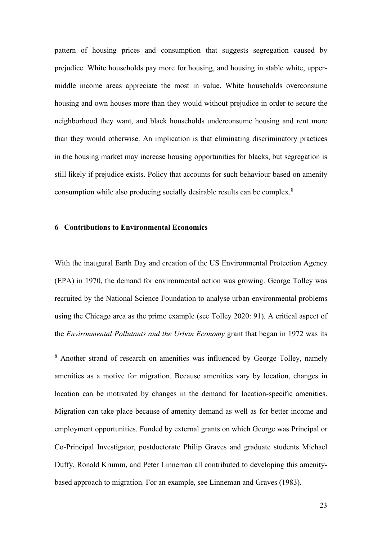pattern of housing prices and consumption that suggests segregation caused by prejudice. White households pay more for housing, and housing in stable white, uppermiddle income areas appreciate the most in value. White households overconsume housing and own houses more than they would without prejudice in order to secure the neighborhood they want, and black households underconsume housing and rent more than they would otherwise. An implication is that eliminating discriminatory practices in the housing market may increase housing opportunities for blacks, but segregation is still likely if prejudice exists. Policy that accounts for such behaviour based on amenity consumption while also producing socially desirable results can be complex.[8](#page-22-0)

### **6 Contributions to Environmental Economics**

With the inaugural Earth Day and creation of the US Environmental Protection Agency (EPA) in 1970, the demand for environmental action was growing. George Tolley was recruited by the National Science Foundation to analyse urban environmental problems using the Chicago area as the prime example (see Tolley 2020: 91). A critical aspect of the *Environmental Pollutants and the Urban Economy* grant that began in 1972 was its

<span id="page-22-0"></span><sup>&</sup>lt;sup>8</sup> Another strand of research on amenities was influenced by George Tolley, namely amenities as a motive for migration. Because amenities vary by location, changes in location can be motivated by changes in the demand for location-specific amenities. Migration can take place because of amenity demand as well as for better income and employment opportunities. Funded by external grants on which George was Principal or Co-Principal Investigator, postdoctorate Philip Graves and graduate students Michael Duffy, Ronald Krumm, and Peter Linneman all contributed to developing this amenitybased approach to migration. For an example, see Linneman and Graves (1983).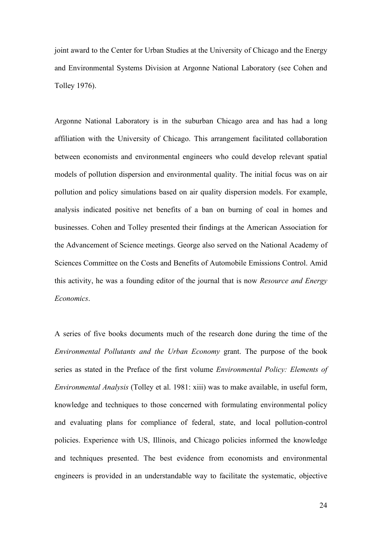joint award to the Center for Urban Studies at the University of Chicago and the Energy and Environmental Systems Division at Argonne National Laboratory (see Cohen and Tolley 1976).

Argonne National Laboratory is in the suburban Chicago area and has had a long affiliation with the University of Chicago. This arrangement facilitated collaboration between economists and environmental engineers who could develop relevant spatial models of pollution dispersion and environmental quality. The initial focus was on air pollution and policy simulations based on air quality dispersion models. For example, analysis indicated positive net benefits of a ban on burning of coal in homes and businesses. Cohen and Tolley presented their findings at the American Association for the Advancement of Science meetings. George also served on the National Academy of Sciences Committee on the Costs and Benefits of Automobile Emissions Control. Amid this activity, he was a founding editor of the journal that is now *Resource and Energy Economics*.

A series of five books documents much of the research done during the time of the *Environmental Pollutants and the Urban Economy* grant. The purpose of the book series as stated in the Preface of the first volume *Environmental Policy: Elements of Environmental Analysis* (Tolley et al. 1981: xiii) was to make available, in useful form, knowledge and techniques to those concerned with formulating environmental policy and evaluating plans for compliance of federal, state, and local pollution-control policies. Experience with US, Illinois, and Chicago policies informed the knowledge and techniques presented. The best evidence from economists and environmental engineers is provided in an understandable way to facilitate the systematic, objective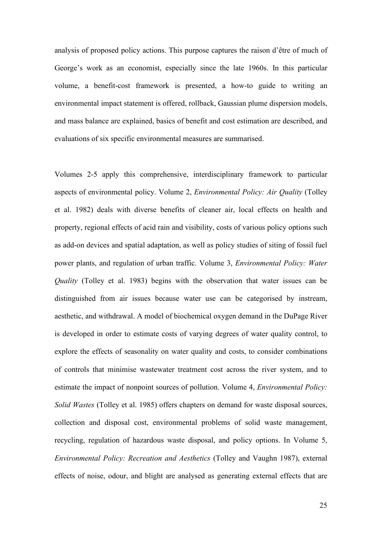analysis of proposed policy actions. This purpose captures the raison d'être of much of George's work as an economist, especially since the late 1960s. In this particular volume, a benefit-cost framework is presented, a how-to guide to writing an environmental impact statement is offered, rollback, Gaussian plume dispersion models, and mass balance are explained, basics of benefit and cost estimation are described, and evaluations of six specific environmental measures are summarised.

Volumes 2-5 apply this comprehensive, interdisciplinary framework to particular aspects of environmental policy. Volume 2, *Environmental Policy: Air Quality* (Tolley et al. 1982) deals with diverse benefits of cleaner air, local effects on health and property, regional effects of acid rain and visibility, costs of various policy options such as add-on devices and spatial adaptation, as well as policy studies of siting of fossil fuel power plants, and regulation of urban traffic. Volume 3, *Environmental Policy: Water Quality* (Tolley et al. 1983) begins with the observation that water issues can be distinguished from air issues because water use can be categorised by instream, aesthetic, and withdrawal. A model of biochemical oxygen demand in the DuPage River is developed in order to estimate costs of varying degrees of water quality control, to explore the effects of seasonality on water quality and costs, to consider combinations of controls that minimise wastewater treatment cost across the river system, and to estimate the impact of nonpoint sources of pollution. Volume 4, *Environmental Policy: Solid Wastes* (Tolley et al. 1985) offers chapters on demand for waste disposal sources, collection and disposal cost, environmental problems of solid waste management, recycling, regulation of hazardous waste disposal, and policy options. In Volume 5, *Environmental Policy: Recreation and Aesthetics* (Tolley and Vaughn 1987), external effects of noise, odour, and blight are analysed as generating external effects that are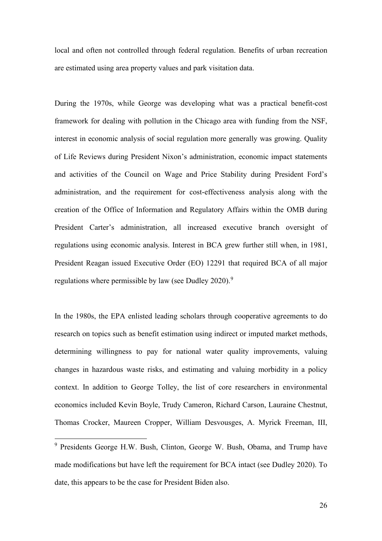local and often not controlled through federal regulation. Benefits of urban recreation are estimated using area property values and park visitation data.

During the 1970s, while George was developing what was a practical benefit-cost framework for dealing with pollution in the Chicago area with funding from the NSF, interest in economic analysis of social regulation more generally was growing. Quality of Life Reviews during President Nixon's administration, economic impact statements and activities of the Council on Wage and Price Stability during President Ford's administration, and the requirement for cost-effectiveness analysis along with the creation of the Office of Information and Regulatory Affairs within the OMB during President Carter's administration, all increased executive branch oversight of regulations using economic analysis. Interest in BCA grew further still when, in 1981, President Reagan issued Executive Order (EO) 12291 that required BCA of all major regulations where permissible by law (see Dudley 2020).<sup>[9](#page-25-0)</sup>

In the 1980s, the EPA enlisted leading scholars through cooperative agreements to do research on topics such as benefit estimation using indirect or imputed market methods, determining willingness to pay for national water quality improvements, valuing changes in hazardous waste risks, and estimating and valuing morbidity in a policy context. In addition to George Tolley, the list of core researchers in environmental economics included Kevin Boyle, Trudy Cameron, Richard Carson, Lauraine Chestnut, Thomas Crocker, Maureen Cropper, William Desvousges, A. Myrick Freeman, III,

<span id="page-25-0"></span><sup>&</sup>lt;sup>9</sup> Presidents George H.W. Bush, Clinton, George W. Bush, Obama, and Trump have made modifications but have left the requirement for BCA intact (see Dudley 2020). To date, this appears to be the case for President Biden also.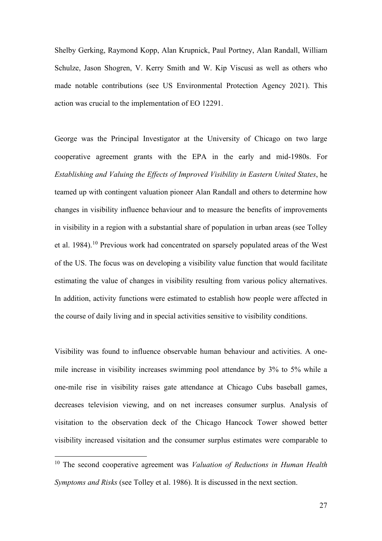Shelby Gerking, Raymond Kopp, Alan Krupnick, Paul Portney, Alan Randall, William Schulze, Jason Shogren, V. Kerry Smith and W. Kip Viscusi as well as others who made notable contributions (see US Environmental Protection Agency 2021). This action was crucial to the implementation of EO 12291.

George was the Principal Investigator at the University of Chicago on two large cooperative agreement grants with the EPA in the early and mid-1980s. For *Establishing and Valuing the Effects of Improved Visibility in Eastern United States*, he teamed up with contingent valuation pioneer Alan Randall and others to determine how changes in visibility influence behaviour and to measure the benefits of improvements in visibility in a region with a substantial share of population in urban areas (see Tolley et al. 1984).<sup>[10](#page-26-0)</sup> Previous work had concentrated on sparsely populated areas of the West of the US. The focus was on developing a visibility value function that would facilitate estimating the value of changes in visibility resulting from various policy alternatives. In addition, activity functions were estimated to establish how people were affected in the course of daily living and in special activities sensitive to visibility conditions.

Visibility was found to influence observable human behaviour and activities. A onemile increase in visibility increases swimming pool attendance by 3% to 5% while a one-mile rise in visibility raises gate attendance at Chicago Cubs baseball games, decreases television viewing, and on net increases consumer surplus. Analysis of visitation to the observation deck of the Chicago Hancock Tower showed better visibility increased visitation and the consumer surplus estimates were comparable to

<span id="page-26-0"></span><sup>10</sup> The second cooperative agreement was *Valuation of Reductions in Human Health Symptoms and Risks* (see Tolley et al. 1986). It is discussed in the next section.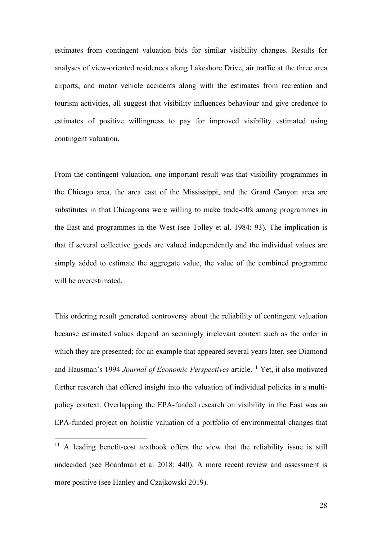estimates from contingent valuation bids for similar visibility changes. Results for analyses of view-oriented residences along Lakeshore Drive, air traffic at the three area airports, and motor vehicle accidents along with the estimates from recreation and tourism activities, all suggest that visibility influences behaviour and give credence to estimates of positive willingness to pay for improved visibility estimated using contingent valuation.

From the contingent valuation, one important result was that visibility programmes in the Chicago area, the area east of the Mississippi, and the Grand Canyon area are substitutes in that Chicagoans were willing to make trade-offs among programmes in the East and programmes in the West (see Tolley et al. 1984: 93). The implication is that if several collective goods are valued independently and the individual values are simply added to estimate the aggregate value, the value of the combined programme will be overestimated.

This ordering result generated controversy about the reliability of contingent valuation because estimated values depend on seemingly irrelevant context such as the order in which they are presented; for an example that appeared several years later, see Diamond and Hausman's 1994 *Journal of Economic Perspectives* article.<sup>[11](#page-27-0)</sup> Yet, it also motivated further research that offered insight into the valuation of individual policies in a multipolicy context. Overlapping the EPA-funded research on visibility in the East was an EPA-funded project on holistic valuation of a portfolio of environmental changes that

<span id="page-27-0"></span> $11$  A leading benefit-cost textbook offers the view that the reliability issue is still undecided (see Boardman et al 2018: 440). A more recent review and assessment is more positive (see Hanley and Czajkowski 2019).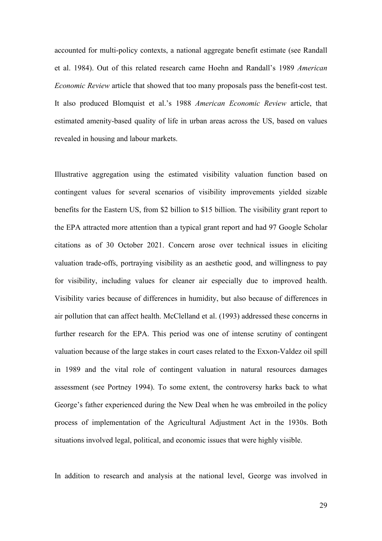accounted for multi-policy contexts, a national aggregate benefit estimate (see Randall et al. 1984). Out of this related research came Hoehn and Randall's 1989 *American Economic Review* article that showed that too many proposals pass the benefit-cost test. It also produced Blomquist et al.'s 1988 *American Economic Review* article, that estimated amenity-based quality of life in urban areas across the US, based on values revealed in housing and labour markets.

Illustrative aggregation using the estimated visibility valuation function based on contingent values for several scenarios of visibility improvements yielded sizable benefits for the Eastern US, from \$2 billion to \$15 billion. The visibility grant report to the EPA attracted more attention than a typical grant report and had 97 Google Scholar citations as of 30 October 2021. Concern arose over technical issues in eliciting valuation trade-offs, portraying visibility as an aesthetic good, and willingness to pay for visibility, including values for cleaner air especially due to improved health. Visibility varies because of differences in humidity, but also because of differences in air pollution that can affect health. McClelland et al. (1993) addressed these concerns in further research for the EPA. This period was one of intense scrutiny of contingent valuation because of the large stakes in court cases related to the Exxon-Valdez oil spill in 1989 and the vital role of contingent valuation in natural resources damages assessment (see Portney 1994). To some extent, the controversy harks back to what George's father experienced during the New Deal when he was embroiled in the policy process of implementation of the Agricultural Adjustment Act in the 1930s. Both situations involved legal, political, and economic issues that were highly visible.

In addition to research and analysis at the national level, George was involved in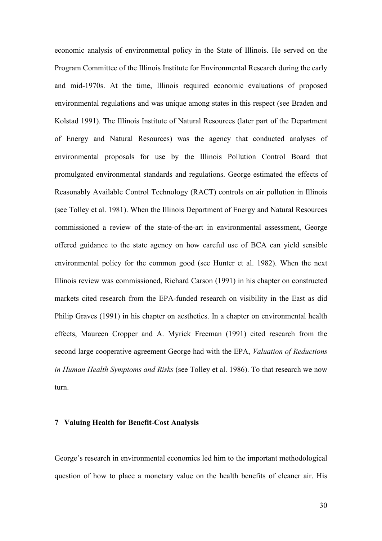economic analysis of environmental policy in the State of Illinois. He served on the Program Committee of the Illinois Institute for Environmental Research during the early and mid-1970s. At the time, Illinois required economic evaluations of proposed environmental regulations and was unique among states in this respect (see Braden and Kolstad 1991). The Illinois Institute of Natural Resources (later part of the Department of Energy and Natural Resources) was the agency that conducted analyses of environmental proposals for use by the Illinois Pollution Control Board that promulgated environmental standards and regulations. George estimated the effects of Reasonably Available Control Technology (RACT) controls on air pollution in Illinois (see Tolley et al. 1981). When the Illinois Department of Energy and Natural Resources commissioned a review of the state-of-the-art in environmental assessment, George offered guidance to the state agency on how careful use of BCA can yield sensible environmental policy for the common good (see Hunter et al. 1982). When the next Illinois review was commissioned, Richard Carson (1991) in his chapter on constructed markets cited research from the EPA-funded research on visibility in the East as did Philip Graves (1991) in his chapter on aesthetics. In a chapter on environmental health effects, Maureen Cropper and A. Myrick Freeman (1991) cited research from the second large cooperative agreement George had with the EPA, *Valuation of Reductions in Human Health Symptoms and Risks* (see Tolley et al. 1986). To that research we now turn.

### **7 Valuing Health for Benefit-Cost Analysis**

George's research in environmental economics led him to the important methodological question of how to place a monetary value on the health benefits of cleaner air. His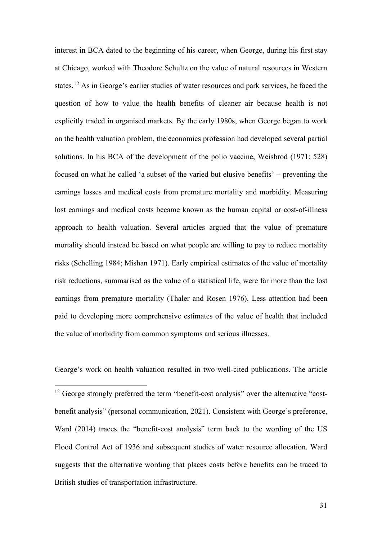interest in BCA dated to the beginning of his career, when George, during his first stay at Chicago, worked with Theodore Schultz on the value of natural resources in Western states.<sup>[12](#page-30-0)</sup> As in George's earlier studies of water resources and park services, he faced the question of how to value the health benefits of cleaner air because health is not explicitly traded in organised markets. By the early 1980s, when George began to work on the health valuation problem, the economics profession had developed several partial solutions. In his BCA of the development of the polio vaccine, Weisbrod (1971: 528) focused on what he called 'a subset of the varied but elusive benefits' – preventing the earnings losses and medical costs from premature mortality and morbidity. Measuring lost earnings and medical costs became known as the human capital or cost-of-illness approach to health valuation. Several articles argued that the value of premature mortality should instead be based on what people are willing to pay to reduce mortality risks (Schelling 1984; Mishan 1971). Early empirical estimates of the value of mortality risk reductions, summarised as the value of a statistical life, were far more than the lost earnings from premature mortality (Thaler and Rosen 1976). Less attention had been paid to developing more comprehensive estimates of the value of health that included the value of morbidity from common symptoms and serious illnesses.

George's work on health valuation resulted in two well-cited publications. The article

<span id="page-30-0"></span><sup>12</sup> George strongly preferred the term "benefit-cost analysis" over the alternative "costbenefit analysis" (personal communication, 2021). Consistent with George's preference, Ward (2014) traces the "benefit-cost analysis" term back to the wording of the US Flood Control Act of 1936 and subsequent studies of water resource allocation. Ward suggests that the alternative wording that places costs before benefits can be traced to British studies of transportation infrastructure.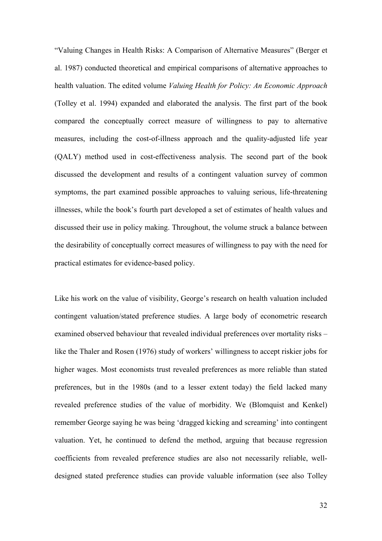"Valuing Changes in Health Risks: A Comparison of Alternative Measures" (Berger et al. 1987) conducted theoretical and empirical comparisons of alternative approaches to health valuation. The edited volume *Valuing Health for Policy: An Economic Approach* (Tolley et al. 1994) expanded and elaborated the analysis. The first part of the book compared the conceptually correct measure of willingness to pay to alternative measures, including the cost-of-illness approach and the quality-adjusted life year (QALY) method used in cost-effectiveness analysis. The second part of the book discussed the development and results of a contingent valuation survey of common symptoms, the part examined possible approaches to valuing serious, life-threatening illnesses, while the book's fourth part developed a set of estimates of health values and discussed their use in policy making. Throughout, the volume struck a balance between the desirability of conceptually correct measures of willingness to pay with the need for practical estimates for evidence-based policy.

Like his work on the value of visibility, George's research on health valuation included contingent valuation/stated preference studies. A large body of econometric research examined observed behaviour that revealed individual preferences over mortality risks – like the Thaler and Rosen (1976) study of workers' willingness to accept riskier jobs for higher wages. Most economists trust revealed preferences as more reliable than stated preferences, but in the 1980s (and to a lesser extent today) the field lacked many revealed preference studies of the value of morbidity. We (Blomquist and Kenkel) remember George saying he was being 'dragged kicking and screaming' into contingent valuation. Yet, he continued to defend the method, arguing that because regression coefficients from revealed preference studies are also not necessarily reliable, welldesigned stated preference studies can provide valuable information (see also Tolley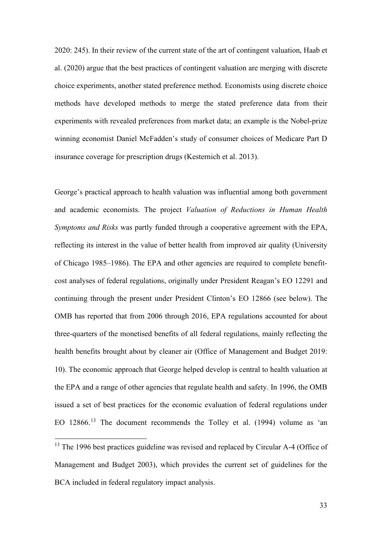2020: 245). In their review of the current state of the art of contingent valuation, Haab et al. (2020) argue that the best practices of contingent valuation are merging with discrete choice experiments, another stated preference method. Economists using discrete choice methods have developed methods to merge the stated preference data from their experiments with revealed preferences from market data; an example is the Nobel-prize winning economist Daniel McFadden's study of consumer choices of Medicare Part D insurance coverage for prescription drugs (Kesternich et al. 2013).

George's practical approach to health valuation was influential among both government and academic economists. The project *Valuation of Reductions in Human Health Symptoms and Risks* was partly funded through a cooperative agreement with the EPA, reflecting its interest in the value of better health from improved air quality (University of Chicago 1985–1986). The EPA and other agencies are required to complete benefitcost analyses of federal regulations, originally under President Reagan's EO 12291 and continuing through the present under President Clinton's EO 12866 (see below). The OMB has reported that from 2006 through 2016, EPA regulations accounted for about three-quarters of the monetised benefits of all federal regulations, mainly reflecting the health benefits brought about by cleaner air (Office of Management and Budget 2019: 10). The economic approach that George helped develop is central to health valuation at the EPA and a range of other agencies that regulate health and safety. In 1996, the OMB issued a set of best practices for the economic evaluation of federal regulations under EO 12866.<sup>[13](#page-32-0)</sup> The document recommends the Tolley et al. (1994) volume as 'an

<span id="page-32-0"></span><sup>&</sup>lt;sup>13</sup> The 1996 best practices guideline was revised and replaced by Circular A-4 (Office of Management and Budget 2003), which provides the current set of guidelines for the BCA included in federal regulatory impact analysis.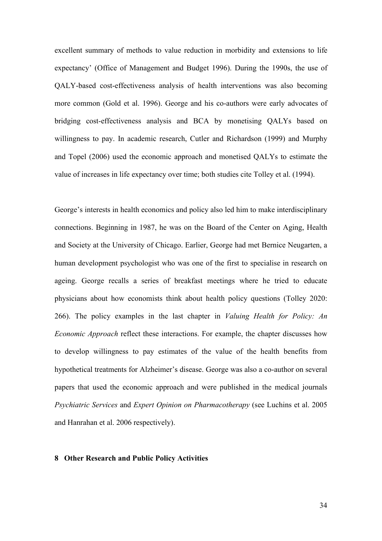excellent summary of methods to value reduction in morbidity and extensions to life expectancy' (Office of Management and Budget 1996). During the 1990s, the use of QALY-based cost-effectiveness analysis of health interventions was also becoming more common (Gold et al. 1996). George and his co-authors were early advocates of bridging cost-effectiveness analysis and BCA by monetising QALYs based on willingness to pay. In academic research, Cutler and Richardson (1999) and Murphy and Topel (2006) used the economic approach and monetised QALYs to estimate the value of increases in life expectancy over time; both studies cite Tolley et al. (1994).

George's interests in health economics and policy also led him to make interdisciplinary connections. Beginning in 1987, he was on the Board of the Center on Aging, Health and Society at the University of Chicago. Earlier, George had met Bernice Neugarten, a human development psychologist who was one of the first to specialise in research on ageing. George recalls a series of breakfast meetings where he tried to educate physicians about how economists think about health policy questions (Tolley 2020: 266). The policy examples in the last chapter in *Valuing Health for Policy: An Economic Approach* reflect these interactions. For example, the chapter discusses how to develop willingness to pay estimates of the value of the health benefits from hypothetical treatments for Alzheimer's disease. George was also a co-author on several papers that used the economic approach and were published in the medical journals *Psychiatric Services* and *Expert Opinion on Pharmacotherapy* (see Luchins et al. 2005 and Hanrahan et al. 2006 respectively).

## **8 Other Research and Public Policy Activities**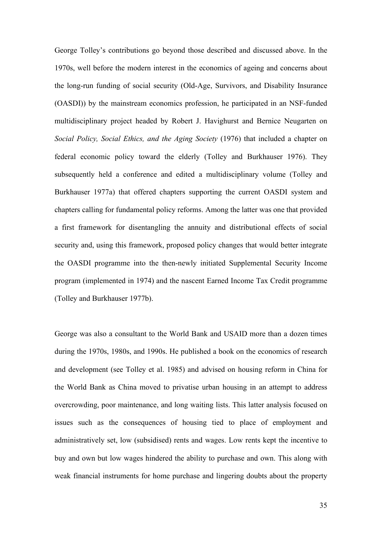George Tolley's contributions go beyond those described and discussed above. In the 1970s, well before the modern interest in the economics of ageing and concerns about the long-run funding of social security (Old-Age, Survivors, and Disability Insurance (OASDI)) by the mainstream economics profession, he participated in an NSF-funded multidisciplinary project headed by Robert J. Havighurst and Bernice Neugarten on *Social Policy, Social Ethics, and the Aging Society* (1976) that included a chapter on federal economic policy toward the elderly (Tolley and Burkhauser 1976). They subsequently held a conference and edited a multidisciplinary volume (Tolley and Burkhauser 1977a) that offered chapters supporting the current OASDI system and chapters calling for fundamental policy reforms. Among the latter was one that provided a first framework for disentangling the annuity and distributional effects of social security and, using this framework, proposed policy changes that would better integrate the OASDI programme into the then-newly initiated Supplemental Security Income program (implemented in 1974) and the nascent Earned Income Tax Credit programme (Tolley and Burkhauser 1977b).

George was also a consultant to the World Bank and USAID more than a dozen times during the 1970s, 1980s, and 1990s. He published a book on the economics of research and development (see Tolley et al. 1985) and advised on housing reform in China for the World Bank as China moved to privatise urban housing in an attempt to address overcrowding, poor maintenance, and long waiting lists. This latter analysis focused on issues such as the consequences of housing tied to place of employment and administratively set, low (subsidised) rents and wages. Low rents kept the incentive to buy and own but low wages hindered the ability to purchase and own. This along with weak financial instruments for home purchase and lingering doubts about the property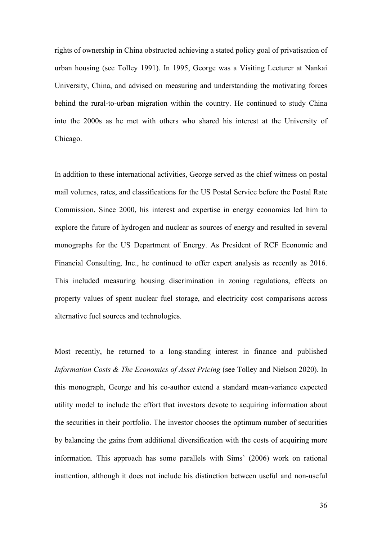rights of ownership in China obstructed achieving a stated policy goal of privatisation of urban housing (see Tolley 1991). In 1995, George was a Visiting Lecturer at Nankai University, China, and advised on measuring and understanding the motivating forces behind the rural-to-urban migration within the country. He continued to study China into the 2000s as he met with others who shared his interest at the University of Chicago.

In addition to these international activities, George served as the chief witness on postal mail volumes, rates, and classifications for the US Postal Service before the Postal Rate Commission. Since 2000, his interest and expertise in energy economics led him to explore the future of hydrogen and nuclear as sources of energy and resulted in several monographs for the US Department of Energy. As President of RCF Economic and Financial Consulting, Inc., he continued to offer expert analysis as recently as 2016. This included measuring housing discrimination in zoning regulations, effects on property values of spent nuclear fuel storage, and electricity cost comparisons across alternative fuel sources and technologies.

Most recently, he returned to a long-standing interest in finance and published *Information Costs & The Economics of Asset Pricing* (see Tolley and Nielson 2020). In this monograph, George and his co-author extend a standard mean-variance expected utility model to include the effort that investors devote to acquiring information about the securities in their portfolio. The investor chooses the optimum number of securities by balancing the gains from additional diversification with the costs of acquiring more information. This approach has some parallels with Sims' (2006) work on rational inattention, although it does not include his distinction between useful and non-useful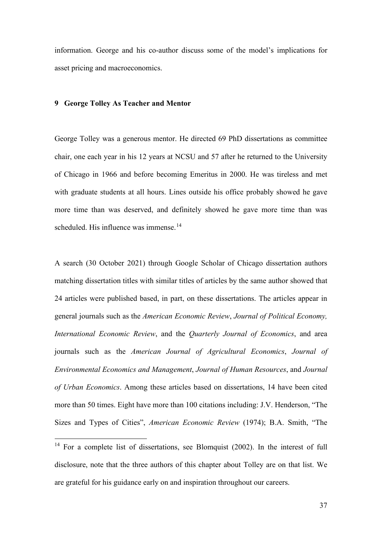information. George and his co-author discuss some of the model's implications for asset pricing and macroeconomics.

# **9 George Tolley As Teacher and Mentor**

George Tolley was a generous mentor. He directed 69 PhD dissertations as committee chair, one each year in his 12 years at NCSU and 57 after he returned to the University of Chicago in 1966 and before becoming Emeritus in 2000. He was tireless and met with graduate students at all hours. Lines outside his office probably showed he gave more time than was deserved, and definitely showed he gave more time than was scheduled. His influence was immense.<sup>[14](#page-36-0)</sup>

A search (30 October 2021) through Google Scholar of Chicago dissertation authors matching dissertation titles with similar titles of articles by the same author showed that 24 articles were published based, in part, on these dissertations. The articles appear in general journals such as the *American Economic Review*, *Journal of Political Economy, International Economic Review*, and the *Quarterly Journal of Economics*, and area journals such as the *American Journal of Agricultural Economics*, *Journal of Environmental Economics and Management*, *Journal of Human Resources*, and *Journal of Urban Economics*. Among these articles based on dissertations, 14 have been cited more than 50 times. Eight have more than 100 citations including: J.V. Henderson, "The Sizes and Types of Cities", *American Economic Review* (1974); B.A. Smith, "The

<span id="page-36-0"></span> $14$  For a complete list of dissertations, see Blomquist (2002). In the interest of full disclosure, note that the three authors of this chapter about Tolley are on that list. We are grateful for his guidance early on and inspiration throughout our careers.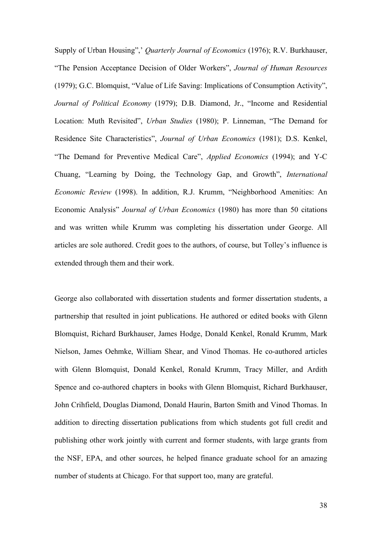Supply of Urban Housing",' *Quarterly Journal of Economics* (1976); R.V. Burkhauser, "The Pension Acceptance Decision of Older Workers", *Journal of Human Resources* (1979); G.C. Blomquist, "Value of Life Saving: Implications of Consumption Activity", *Journal of Political Economy* (1979); D.B. Diamond, Jr., "Income and Residential Location: Muth Revisited", *Urban Studies* (1980); P. Linneman, "The Demand for Residence Site Characteristics", *Journal of Urban Economics* (1981); D.S. Kenkel, "The Demand for Preventive Medical Care", *Applied Economics* (1994); and Y-C Chuang, "Learning by Doing, the Technology Gap, and Growth", *International Economic Review* (1998). In addition, R.J. Krumm, "Neighborhood Amenities: An Economic Analysis" *Journal of Urban Economics* (1980) has more than 50 citations and was written while Krumm was completing his dissertation under George. All articles are sole authored. Credit goes to the authors, of course, but Tolley's influence is extended through them and their work.

George also collaborated with dissertation students and former dissertation students, a partnership that resulted in joint publications. He authored or edited books with Glenn Blomquist, Richard Burkhauser, James Hodge, Donald Kenkel, Ronald Krumm, Mark Nielson, James Oehmke, William Shear, and Vinod Thomas. He co-authored articles with Glenn Blomquist, Donald Kenkel, Ronald Krumm, Tracy Miller, and Ardith Spence and co-authored chapters in books with Glenn Blomquist, Richard Burkhauser, John Crihfield, Douglas Diamond, Donald Haurin, Barton Smith and Vinod Thomas. In addition to directing dissertation publications from which students got full credit and publishing other work jointly with current and former students, with large grants from the NSF, EPA, and other sources, he helped finance graduate school for an amazing number of students at Chicago. For that support too, many are grateful.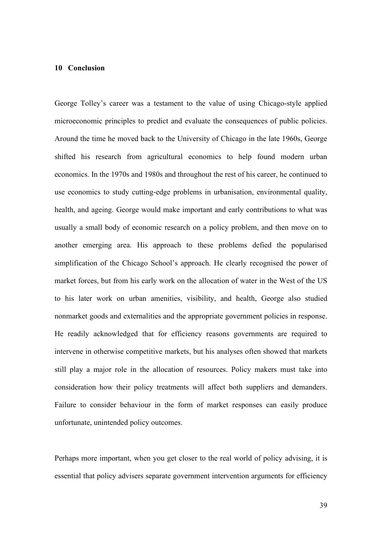## **10 Conclusion**

George Tolley's career was a testament to the value of using Chicago-style applied microeconomic principles to predict and evaluate the consequences of public policies. Around the time he moved back to the University of Chicago in the late 1960s, George shifted his research from agricultural economics to help found modern urban economics. In the 1970s and 1980s and throughout the rest of his career, he continued to use economics to study cutting-edge problems in urbanisation, environmental quality, health, and ageing. George would make important and early contributions to what was usually a small body of economic research on a policy problem, and then move on to another emerging area. His approach to these problems defied the popularised simplification of the Chicago School's approach. He clearly recognised the power of market forces, but from his early work on the allocation of water in the West of the US to his later work on urban amenities, visibility, and health, George also studied nonmarket goods and externalities and the appropriate government policies in response. He readily acknowledged that for efficiency reasons governments are required to intervene in otherwise competitive markets, but his analyses often showed that markets still play a major role in the allocation of resources. Policy makers must take into consideration how their policy treatments will affect both suppliers and demanders. Failure to consider behaviour in the form of market responses can easily produce unfortunate, unintended policy outcomes.

Perhaps more important, when you get closer to the real world of policy advising, it is essential that policy advisers separate government intervention arguments for efficiency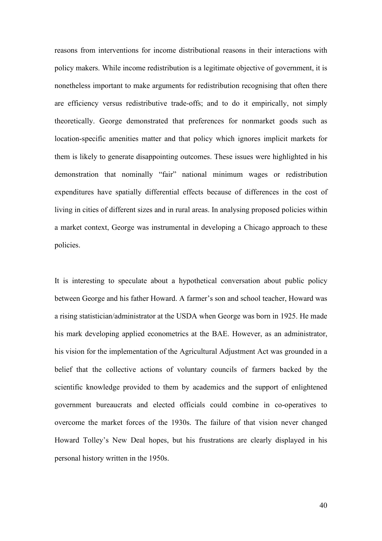reasons from interventions for income distributional reasons in their interactions with policy makers. While income redistribution is a legitimate objective of government, it is nonetheless important to make arguments for redistribution recognising that often there are efficiency versus redistributive trade-offs; and to do it empirically, not simply theoretically. George demonstrated that preferences for nonmarket goods such as location-specific amenities matter and that policy which ignores implicit markets for them is likely to generate disappointing outcomes. These issues were highlighted in his demonstration that nominally "fair" national minimum wages or redistribution expenditures have spatially differential effects because of differences in the cost of living in cities of different sizes and in rural areas. In analysing proposed policies within a market context, George was instrumental in developing a Chicago approach to these policies.

It is interesting to speculate about a hypothetical conversation about public policy between George and his father Howard. A farmer's son and school teacher, Howard was a rising statistician/administrator at the USDA when George was born in 1925. He made his mark developing applied econometrics at the BAE. However, as an administrator, his vision for the implementation of the Agricultural Adjustment Act was grounded in a belief that the collective actions of voluntary councils of farmers backed by the scientific knowledge provided to them by academics and the support of enlightened government bureaucrats and elected officials could combine in co-operatives to overcome the market forces of the 1930s. The failure of that vision never changed Howard Tolley's New Deal hopes, but his frustrations are clearly displayed in his personal history written in the 1950s.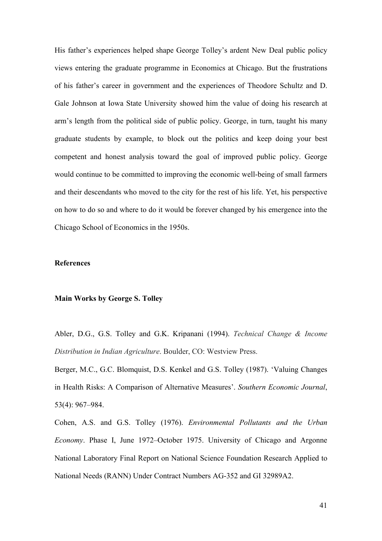His father's experiences helped shape George Tolley's ardent New Deal public policy views entering the graduate programme in Economics at Chicago. But the frustrations of his father's career in government and the experiences of Theodore Schultz and D. Gale Johnson at Iowa State University showed him the value of doing his research at arm's length from the political side of public policy. George, in turn, taught his many graduate students by example, to block out the politics and keep doing your best competent and honest analysis toward the goal of improved public policy. George would continue to be committed to improving the economic well-being of small farmers and their descendants who moved to the city for the rest of his life. Yet, his perspective on how to do so and where to do it would be forever changed by his emergence into the Chicago School of Economics in the 1950s.

## **References**

### **Main Works by George S. Tolley**

Abler, D.G., G.S. Tolley and G.K. Kripanani (1994). *Technical Change & Income Distribution in Indian Agriculture*. Boulder, CO: Westview Press.

Berger, M.C., G.C. Blomquist, D.S. Kenkel and G.S. Tolley (1987). 'Valuing Changes in Health Risks: A Comparison of Alternative Measures'. *Southern Economic Journal*, 53(4): 967–984.

Cohen, A.S. and G.S. Tolley (1976). *Environmental Pollutants and the Urban Economy*. Phase I, June 1972–October 1975. University of Chicago and Argonne National Laboratory Final Report on National Science Foundation Research Applied to National Needs (RANN) Under Contract Numbers AG-352 and GI 32989A2.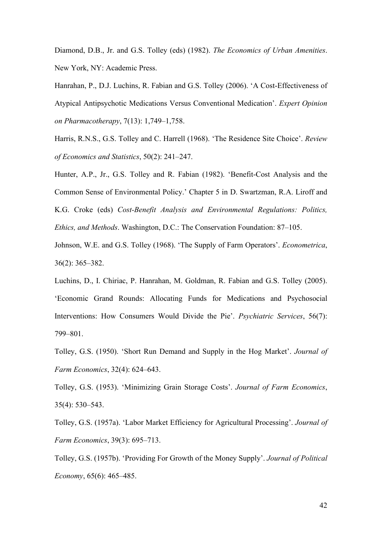Diamond, D.B., Jr. and G.S. Tolley (eds) (1982). *The Economics of Urban Amenities*. New York, NY: Academic Press.

Hanrahan, P., D.J. Luchins, R. Fabian and G.S. Tolley (2006). 'A Cost-Effectiveness of Atypical Antipsychotic Medications Versus Conventional Medication'. *Expert Opinion on Pharmacotherapy*, 7(13): 1,749–1,758.

Harris, R.N.S., G.S. Tolley and C. Harrell (1968). 'The Residence Site Choice'. *Review of Economics and Statistics*, 50(2): 241–247.

Hunter, A.P., Jr., G.S. Tolley and R. Fabian (1982). 'Benefit-Cost Analysis and the Common Sense of Environmental Policy.' Chapter 5 in D. Swartzman, R.A. Liroff and K.G. Croke (eds) *Cost-Benefit Analysis and Environmental Regulations: Politics, Ethics, and Methods*. Washington, D.C.: The Conservation Foundation: 87–105.

Johnson, W.E. and G.S. Tolley (1968). 'The Supply of Farm Operators'. *Econometrica*, 36(2): 365–382.

Luchins, D., I. Chiriac, P. Hanrahan, M. Goldman, R. Fabian and G.S. Tolley (2005). 'Economic Grand Rounds: Allocating Funds for Medications and Psychosocial Interventions: How Consumers Would Divide the Pie'. *Psychiatric Services*, 56(7): 799–801.

Tolley, G.S. (1950). 'Short Run Demand and Supply in the Hog Market'. *Journal of Farm Economics*, 32(4): 624–643.

Tolley, G.S. (1953). 'Minimizing Grain Storage Costs'. *Journal of Farm Economics*, 35(4): 530–543.

Tolley, G.S. (1957a). 'Labor Market Efficiency for Agricultural Processing'. *Journal of Farm Economics*, 39(3): 695–713.

Tolley, G.S. (1957b). 'Providing For Growth of the Money Supply'. *Journal of Political Economy*, 65(6): 465–485.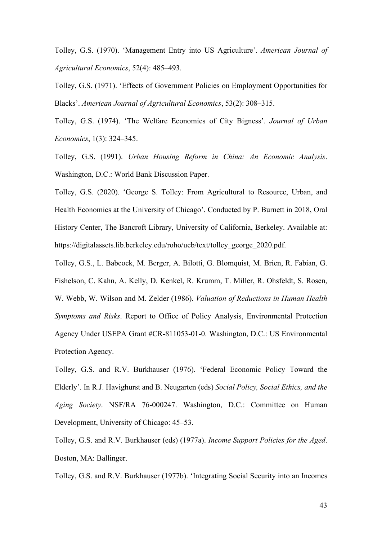Tolley, G.S. (1970). 'Management Entry into US Agriculture'. *American Journal of Agricultural Economics*, 52(4): 485–493.

Tolley, G.S. (1971). 'Effects of Government Policies on Employment Opportunities for Blacks'. *American Journal of Agricultural Economics*, 53(2): 308–315.

Tolley, G.S. (1974). 'The Welfare Economics of City Bigness'. *Journal of Urban Economics*, 1(3): 324–345.

Tolley, G.S. (1991). *Urban Housing Reform in China: An Economic Analysis*. Washington, D.C.: World Bank Discussion Paper.

Tolley, G.S. (2020). 'George S. Tolley: From Agricultural to Resource, Urban, and Health Economics at the University of Chicago'. Conducted by P. Burnett in 2018, Oral History Center, The Bancroft Library, University of California, Berkeley. Available at: https://digitalassets.lib.berkeley.edu/roho/ucb/text/tolley\_george\_2020.pdf.

Tolley, G.S., L. Babcock, M. Berger, A. Bilotti, G. Blomquist, M. Brien, R. Fabian, G. Fishelson, C. Kahn, A. Kelly, D. Kenkel, R. Krumm, T. Miller, R. Ohsfeldt, S. Rosen, W. Webb, W. Wilson and M. Zelder (1986). *Valuation of Reductions in Human Health Symptoms and Risks*. Report to Office of Policy Analysis, Environmental Protection Agency Under USEPA Grant #CR-811053-01-0. Washington, D.C.: US Environmental Protection Agency.

Tolley, G.S. and R.V. Burkhauser (1976). 'Federal Economic Policy Toward the Elderly'. In R.J. Havighurst and B. Neugarten (eds) *Social Policy, Social Ethics, and the Aging Society*. NSF/RA 76-000247. Washington, D.C.: Committee on Human Development, University of Chicago: 45–53.

Tolley, G.S. and R.V. Burkhauser (eds) (1977a). *Income Support Policies for the Aged*. Boston, MA: Ballinger.

Tolley, G.S. and R.V. Burkhauser (1977b). 'Integrating Social Security into an Incomes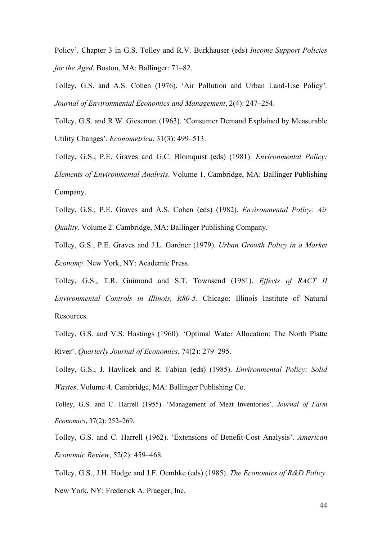Policy'. Chapter 3 in G.S. Tolley and R.V. Burkhauser (eds) *Income Support Policies for the Aged*. Boston, MA: Ballinger: 71–82.

Tolley, G.S. and A.S. Cohen (1976). 'Air Pollution and Urban Land-Use Policy'*. Journal of Environmental Economics and Management*, 2(4): 247–254.

Tolley, G.S. and R.W. Gieseman (1963). 'Consumer Demand Explained by Measurable Utility Changes'. *Econometrica*, 31(3): 499–513.

Tolley, G.S., P.E. Graves and G.C. Blomquist (eds) (1981). *Environmental Policy: Elements of Environmental Analysis*. Volume 1. Cambridge, MA: Ballinger Publishing Company.

Tolley, G.S., P.E. Graves and A.S. Cohen (eds) (1982). *Environmental Policy: Air Quality*. Volume 2. Cambridge, MA: Ballinger Publishing Company.

Tolley, G.S., P.E. Graves and J.L. Gardner (1979). *Urban Growth Policy in a Market Economy*. New York, NY: Academic Press.

Tolley, G.S., T.R. Guimond and S.T. Townsend (1981). *Effects of RACT II Environmental Controls in Illinois, R80-5*. Chicago: Illinois Institute of Natural Resources.

Tolley, G.S. and V.S. Hastings (1960). 'Optimal Water Allocation: The North Platte River'. *Quarterly Journal of Economics*, 74(2): 279–295.

Tolley, G.S., J. Havlicek and R. Fabian (eds) (1985). *Environmental Policy: Solid Wastes*. Volume 4. Cambridge, MA: Ballinger Publishing Co.

Tolley, G.S. and C. Harrell (1955). 'Management of Meat Inventories'. *Journal of Farm Economics*, 37(2): 252–269.

Tolley, G.S. and C. Harrell (1962). 'Extensions of Benefit-Cost Analysis'. *American Economic Review*, 52(2): 459–468.

Tolley, G.S., J.H. Hodge and J.F. Oemhke (eds) (1985). *The Economics of R&D Policy*.

New York, NY: Frederick A. Praeger, Inc.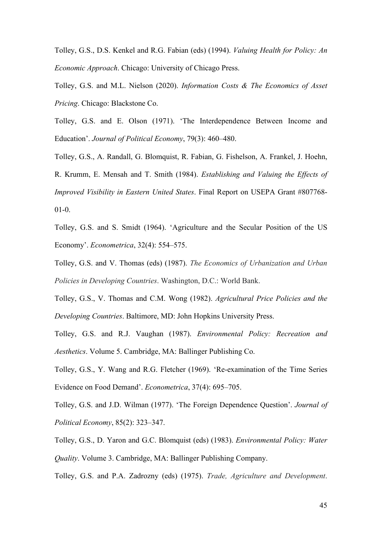Tolley, G.S., D.S. Kenkel and R.G. Fabian (eds) (1994). *Valuing Health for Policy: An Economic Approach*. Chicago: University of Chicago Press.

Tolley, G.S. and M.L. Nielson (2020). *Information Costs & The Economics of Asset Pricing*. Chicago: Blackstone Co.

Tolley, G.S. and E. Olson (1971). 'The Interdependence Between Income and Education'. *Journal of Political Economy*, 79(3): 460–480.

Tolley, G.S., A. Randall, G. Blomquist, R. Fabian, G. Fishelson, A. Frankel, J. Hoehn, R. Krumm, E. Mensah and T. Smith (1984). *Establishing and Valuing the Effects of Improved Visibility in Eastern United States*. Final Report on USEPA Grant #807768- 01-0.

Tolley, G.S. and S. Smidt (1964). 'Agriculture and the Secular Position of the US Economy'. *Econometrica*, 32(4): 554–575.

Tolley, G.S. and V. Thomas (eds) (1987). *The Economics of Urbanization and Urban Policies in Developing Countries*. Washington, D.C.: World Bank.

Tolley, G.S., V. Thomas and C.M. Wong (1982). *Agricultural Price Policies and the Developing Countries*. Baltimore, MD: John Hopkins University Press.

Tolley, G.S. and R.J. Vaughan (1987). *Environmental Policy: Recreation and Aesthetics*. Volume 5. Cambridge, MA: Ballinger Publishing Co.

Tolley, G.S., Y. Wang and R.G. Fletcher (1969). 'Re-examination of the Time Series Evidence on Food Demand'. *Econometrica*, 37(4): 695–705.

Tolley, G.S. and J.D. Wilman (1977). 'The Foreign Dependence Question'. *Journal of Political Economy*, 85(2): 323–347.

Tolley, G.S., D. Yaron and G.C. Blomquist (eds) (1983). *Environmental Policy: Water Quality*. Volume 3. Cambridge, MA: Ballinger Publishing Company.

Tolley, G.S. and P.A. Zadrozny (eds) (1975). *Trade, Agriculture and Development*.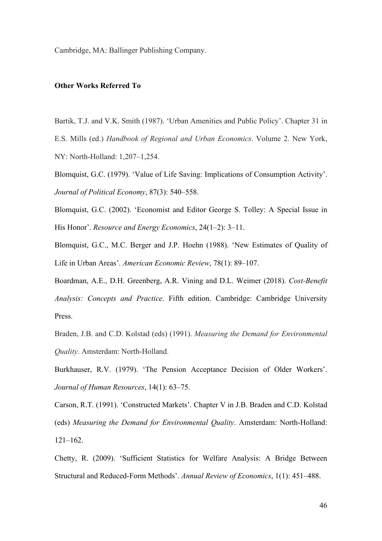Cambridge, MA: Ballinger Publishing Company.

### **Other Works Referred To**

Bartik, T.J. and V.K. Smith (1987). 'Urban Amenities and Public Policy'. Chapter 31 in

E.S. Mills (ed.) *Handbook of Regional and Urban Economics*. Volume 2. New York, NY: North-Holland: 1,207–1,254.

Blomquist, G.C. (1979). 'Value of Life Saving: Implications of Consumption Activity'. *Journal of Political Economy*, 87(3): 540–558.

Blomquist, G.C. (2002). 'Economist and Editor George S. Tolley: A Special Issue in His Honor'. *Resource and Energy Economics*, 24(1–2): 3–11.

Blomquist, G.C., M.C. Berger and J.P. Hoehn (1988). 'New Estimates of Quality of Life in Urban Areas'. *American Economic Review*, 78(1): 89–107.

Boardman, A.E., D.H. Greenberg, A.R. Vining and D.L. Weimer (2018). *Cost-Benefit Analysis: Concepts and Practice*. Fifth edition. Cambridge: Cambridge University Press.

Braden, J.B. and C.D. Kolstad (eds) (1991). *Measuring the Demand for Environmental Quality*. Amsterdam: North-Holland.

Burkhauser, R.V. (1979). 'The Pension Acceptance Decision of Older Workers'. *Journal of Human Resources*, 14(1): 63–75.

Carson, R.T. (1991). 'Constructed Markets'. Chapter V in J.B. Braden and C.D. Kolstad (eds) *Measuring the Demand for Environmental Quality*. Amsterdam: North-Holland: 121–162.

Chetty, R. (2009). 'Sufficient Statistics for Welfare Analysis: A Bridge Between Structural and Reduced-Form Methods'. *Annual Review of Economics*, 1(1): 451–488.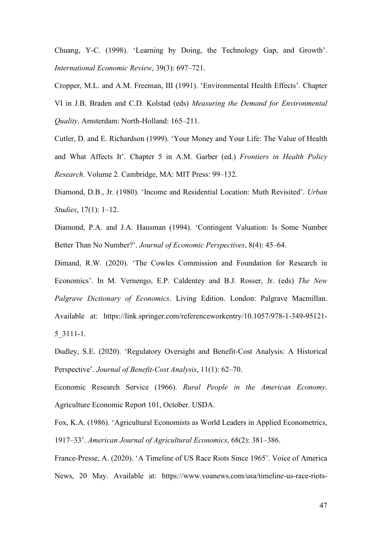Chuang, Y-C. (1998). 'Learning by Doing, the Technology Gap, and Growth'. *International Economic Review*, 39(3): 697–721.

Cropper, M.L. and A.M. Freeman, III (1991). 'Environmental Health Effects'. Chapter VI in J.B. Braden and C.D. Kolstad (eds) *Measuring the Demand for Environmental Quality*. Amsterdam: North-Holland: 165–211.

Cutler, D. and E. Richardson (1999). 'Your Money and Your Life: The Value of Health and What Affects It'. Chapter 5 in A.M. Garber (ed.) *Frontiers in Health Policy Research*. Volume 2. Cambridge, MA: MIT Press: 99–132.

Diamond, D.B., Jr. (1980). 'Income and Residential Location: Muth Revisited'. *Urban Studies*, 17(1): 1–12.

Diamond, P.A. and J.A. Hausman (1994). 'Contingent Valuation: Is Some Number Better Than No Number?'. *Journal of Economic Perspectives*, 8(4): 45–64.

Dimand, R.W. (2020). 'The Cowles Commission and Foundation for Research in Economics'. In M. Vernengo, E.P. Caldentey and B.J. Rosser, Jr. (eds) *The New Palgrave Dictionary of Economics*. Living Edition. London: Palgrave Macmillan. Available at: [https://link.springer.com/referenceworkentry/10.1057/978-1-349-95121-](https://link.springer.com/referenceworkentry/10.1057/978-1-349-95121-5_3111-1) [5\\_3111-1.](https://link.springer.com/referenceworkentry/10.1057/978-1-349-95121-5_3111-1)

Dudley, S.E. (2020). 'Regulatory Oversight and Benefit-Cost Analysis: A Historical Perspective'. *Journal of Benefit-Cost Analysis*, 11(1): 62–70.

Economic Research Service (1966). *Rural People in the American Economy*. Agriculture Economic Report 101, October. USDA.

Fox, K.A. (1986). 'Agricultural Economists as World Leaders in Applied Econometrics, 1917–33'. *American Journal of Agricultural Economics*, 68(2): 381–386.

France-Presse, A. (2020). 'A Timeline of US Race Riots Since 1965'. Voice of America News, 20 May. Available at: [https://www.voanews.com/usa/timeline-us-race-riots-](https://www.voanews.com/usa/timeline-us-race-riots-1965)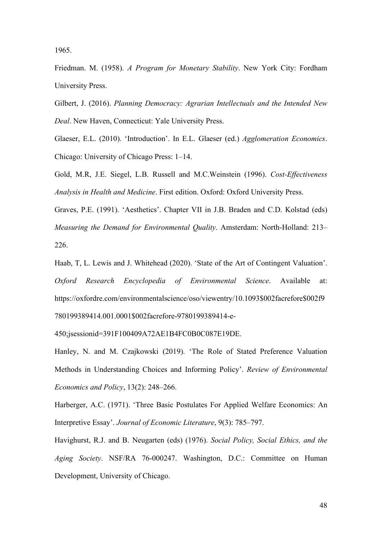[1965.](https://www.voanews.com/usa/timeline-us-race-riots-1965)

Friedman. M. (1958). *A Program for Monetary Stability*. New York City: Fordham University Press.

Gilbert, J. (2016). *Planning Democracy: Agrarian Intellectuals and the Intended New Deal*. New Haven, Connecticut: Yale University Press.

Glaeser, E.L. (2010). 'Introduction'. In E.L. Glaeser (ed.) *Agglomeration Economics*. Chicago: University of Chicago Press: 1–14.

Gold, M.R, J.E. Siegel, L.B. Russell and M.C.Weinstein (1996). *Cost-Effectiveness Analysis in Health and Medicine*. First edition. Oxford: Oxford University Press.

Graves, P.E. (1991). 'Aesthetics'. Chapter VII in J.B. Braden and C.D. Kolstad (eds) *Measuring the Demand for Environmental Quality*. Amsterdam: North-Holland: 213– 226.

Haab, T, L. Lewis and J. Whitehead (2020). 'State of the Art of Contingent Valuation'. *Oxford Research Encyclopedia of Environmental Science*. Available at: [https://oxfordre.com/environmentalscience/oso/viewentry/10.1093\\$002facrefore\\$002f9](https://oxfordre.com/environmentalscience/oso/viewentry/10.1093$002facrefore$002f9780199389414.001.0001$002facrefore-9780199389414-e-450;jsessionid=391F100409A72AE1B4FC0B0C087E19DE) [780199389414.001.0001\\$002facrefore-9780199389414-e-](https://oxfordre.com/environmentalscience/oso/viewentry/10.1093$002facrefore$002f9780199389414.001.0001$002facrefore-9780199389414-e-450;jsessionid=391F100409A72AE1B4FC0B0C087E19DE)

[450;jsessionid=391F100409A72AE1B4FC0B0C087E19DE.](https://oxfordre.com/environmentalscience/oso/viewentry/10.1093$002facrefore$002f9780199389414.001.0001$002facrefore-9780199389414-e-450;jsessionid=391F100409A72AE1B4FC0B0C087E19DE)

Hanley, N. and M. Czajkowski (2019). 'The Role of Stated Preference Valuation Methods in Understanding Choices and Informing Policy'. *Review of Environmental Economics and Policy*, 13(2): 248–266.

Harberger, A.C. (1971). 'Three Basic Postulates For Applied Welfare Economics: An Interpretive Essay'. *Journal of Economic Literature*, 9(3): 785–797.

Havighurst, R.J. and B. Neugarten (eds) (1976). *Social Policy, Social Ethics, and the Aging Society*. NSF/RA 76-000247. Washington, D.C.: Committee on Human Development, University of Chicago.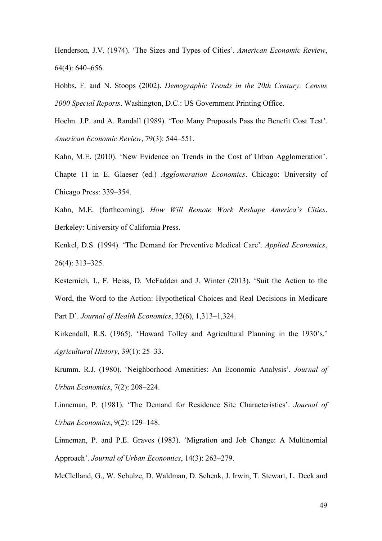Henderson, J.V. (1974). 'The Sizes and Types of Cities'. *American Economic Review*, 64(4): 640–656.

Hobbs, F. and N. Stoops (2002). *Demographic Trends in the 20th Century: Census 2000 Special Reports*. Washington, D.C.: US Government Printing Office.

Hoehn. J.P. and A. Randall (1989). 'Too Many Proposals Pass the Benefit Cost Test'. *American Economic Review*, 79(3): 544–551.

Kahn, M.E. (2010). 'New Evidence on Trends in the Cost of Urban Agglomeration'. Chapte 11 in E. Glaeser (ed.) *Agglomeration Economics*. Chicago: University of Chicago Press: 339–354.

Kahn, M.E. (forthcoming). *How Will Remote Work Reshape America's Cities*. Berkeley: University of California Press.

Kenkel, D.S. (1994). 'The Demand for Preventive Medical Care'. *Applied Economics*, 26(4): 313–325.

Kesternich, I., F. Heiss, D. McFadden and J. Winter (2013). 'Suit the Action to the Word, the Word to the Action: Hypothetical Choices and Real Decisions in Medicare Part D'. *Journal of Health Economics*, 32(6), 1,313–1,324.

Kirkendall, R.S. (1965). 'Howard Tolley and Agricultural Planning in the 1930's.' *Agricultural History*, 39(1): 25–33.

Krumm. R.J. (1980). 'Neighborhood Amenities: An Economic Analysis'. *Journal of Urban Economics*, 7(2): 208–224.

Linneman, P. (1981). 'The Demand for Residence Site Characteristics'. *Journal of Urban Economics*, 9(2): 129–148.

Linneman, P. and P.E. Graves (1983). 'Migration and Job Change: A Multinomial Approach'. *Journal of Urban Economics*, 14(3): 263–279.

McClelland, G., W. Schulze, D. Waldman, D. Schenk, J. Irwin, T. Stewart, L. Deck and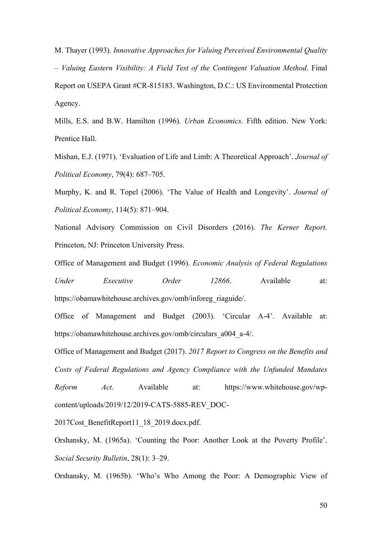M. Thayer (1993). *Innovative Approaches for Valuing Perceived Environmental Quality – Valuing Eastern Visibility: A Field Test of the Contingent Valuation Method*. Final Report on USEPA Grant #CR-815183. Washington, D.C.: US Environmental Protection Agency.

Mills, E.S. and B.W. Hamilton (1996). *Urban Economics*. Fifth edition. New York: Prentice Hall.

Mishan, E.J. (1971). 'Evaluation of Life and Limb: A Theoretical Approach'. *Journal of Political Economy*, 79(4): 687–705.

Murphy, K. and R. Topel (2006). 'The Value of Health and Longevity'. *Journal of Political Economy*, 114(5): 871–904.

National Advisory Commission on Civil Disorders (2016). *The Kerner Report*. Princeton, NJ: Princeton University Press.

Office of Management and Budget (1996). *Economic Analysis of Federal Regulations* 

*Under Executive Order 12866*. Available at: [https://obamawhitehouse.archives.gov/omb/inforeg\\_riaguide/.](https://obamawhitehouse.archives.gov/omb/inforeg_riaguide/)

Office of Management and Budget (2003). 'Circular A-4'. Available at: [https://obamawhitehouse.archives.gov/omb/circulars\\_a004\\_a-4/.](https://obamawhitehouse.archives.gov/omb/circulars_a004_a-4/)

Office of Management and Budget (2017). *2017 Report to Congress on the Benefits and Costs of Federal Regulations and Agency Compliance with the Unfunded Mandates Reform Act*. Available at: [https://www.whitehouse.gov/wp](https://www.whitehouse.gov/wp-content/uploads/2019/12/2019-CATS-5885-REV_DOC-2017Cost_BenefitReport11_18_2019.docx.pdf)[content/uploads/2019/12/2019-CATS-5885-REV\\_DOC-](https://www.whitehouse.gov/wp-content/uploads/2019/12/2019-CATS-5885-REV_DOC-2017Cost_BenefitReport11_18_2019.docx.pdf)

2017Cost BenefitReport11\_18\_2019.docx.pdf.

Orshansky, M. (1965a). 'Counting the Poor: Another Look at the Poverty Profile'. *Social Security Bulletin*, 28(1): 3–29.

Orshansky, M. (1965b). 'Who's Who Among the Poor: A Demographic View of

50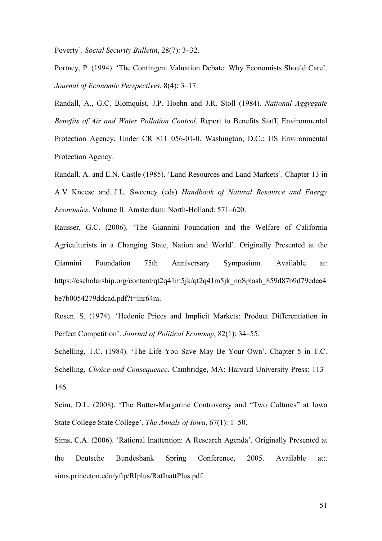Poverty'. *Social Security Bulletin*, 28(7): 3–32.

Portney, P. (1994). 'The Contingent Valuation Debate: Why Economists Should Care'. *Journal of Economic Perspectives*, 8(4): 3–17.

Randall, A., G.C. Blomquist, J.P. Hoehn and J.R. Stoll (1984). *National Aggregate Benefits of Air and Water Pollution Control*. Report to Benefits Staff, Environmental Protection Agency, Under CR 811 056-01-0. Washington, D.C.: US Environmental Protection Agency.

Randall. A. and E.N. Castle (1985). 'Land Resources and Land Markets'. Chapter 13 in A.V Kneese and J.L. Sweeney (eds) *Handbook of Natural Resource and Energy Economics*. Volume II. Amsterdam: North-Holland: 571–620.

Rausser, G.C. (2006). 'The Giannini Foundation and the Welfare of California Agriculturists in a Changing State, Nation and World'. Originally Presented at the Giannini Foundation 75th Anniversary Symposium. Available at: [https://escholarship.org/content/qt2q41m5jk/qt2q41m5jk\\_noSplash\\_859d87b9d79edee4](https://escholarship.org/content/qt2q41m5jk/qt2q41m5jk_noSplash_859d87b9d79edee4be7b0054279ddcad.pdf?t=lnr64m) [be7b0054279ddcad.pdf?t=lnr64m.](https://escholarship.org/content/qt2q41m5jk/qt2q41m5jk_noSplash_859d87b9d79edee4be7b0054279ddcad.pdf?t=lnr64m)

Rosen. S. (1974). 'Hedonic Prices and Implicit Markets: Product Differentiation in Perfect Competition'. *Journal of Political Economy*, 82(1): 34–55.

Schelling, T.C. (1984). 'The Life You Save May Be Your Own'. Chapter 5 in T.C. Schelling, *Choice and Consequence*. Cambridge, MA: Harvard University Press: 113– 146.

Seim, D.L. (2008). 'The Butter-Margarine Controversy and "Two Cultures" at Iowa State College State College'. *The Annals of Iowa*, 67(1): 1–50.

Sims, C.A. (2006). 'Rational Inattention: A Research Agenda'. Originally Presented at the Deutsche Bundesbank Spring Conference, 2005. Available at:. sims.princeton.edu/yftp/RIplus/RatInattPlus.pdf.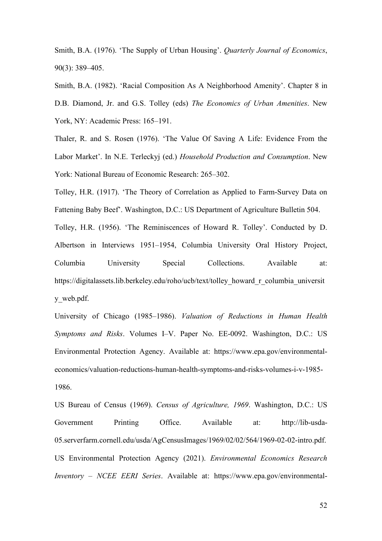Smith, B.A. (1976). 'The Supply of Urban Housing'. *Quarterly Journal of Economics*, 90(3): 389–405.

Smith, B.A. (1982). 'Racial Composition As A Neighborhood Amenity'. Chapter 8 in D.B. Diamond, Jr. and G.S. Tolley (eds) *The Economics of Urban Amenities*. New York, NY: Academic Press: 165–191.

Thaler, R. and S. Rosen (1976). 'The Value Of Saving A Life: Evidence From the Labor Market'. In N.E. Terleckyj (ed.) *Household Production and Consumption*. New York: National Bureau of Economic Research: 265–302.

Tolley, H.R. (1917). 'The Theory of Correlation as Applied to Farm-Survey Data on Fattening Baby Beef'. Washington, D.C.: US Department of Agriculture Bulletin 504. Tolley, H.R. (1956). 'The Reminiscences of Howard R. Tolley'. Conducted by D. Albertson in Interviews 1951–1954, Columbia University Oral History Project,

Columbia University Special Collections. Available at: [https://digitalassets.lib.berkeley.edu/roho/ucb/text/tolley\\_howard\\_r\\_columbia\\_universit](https://digitalassets.lib.berkeley.edu/roho/ucb/text/tolley_howard_r_columbia_university_web.pdf) [y\\_web.pdf.](https://digitalassets.lib.berkeley.edu/roho/ucb/text/tolley_howard_r_columbia_university_web.pdf)

University of Chicago (1985–1986). *Valuation of Reductions in Human Health Symptoms and Risks*. Volumes I–V. Paper No. EE-0092. Washington, D.C.: US Environmental Protection Agency. Available at: [https://www.epa.gov/environmental](https://www.epa.gov/environmental-economics/valuation-reductions-human-health-symptoms-and-risks-volumes-i-v-1985-1986)[economics/valuation-reductions-human-health-symptoms-and-risks-volumes-i-v-1985-](https://www.epa.gov/environmental-economics/valuation-reductions-human-health-symptoms-and-risks-volumes-i-v-1985-1986) [1986.](https://www.epa.gov/environmental-economics/valuation-reductions-human-health-symptoms-and-risks-volumes-i-v-1985-1986)

US Bureau of Census (1969). *Census of Agriculture, 1969*. Washington, D.C.: US Government Printing Office. Available at: [http://lib-usda-](http://lib-usda-05.serverfarm.cornell.edu/usda/AgCensusImages/1969/02/02/564/1969-02-02-intro.pdf)[05.serverfarm.cornell.edu/usda/AgCensusImages/1969/02/02/564/1969-02-02-intro.pdf.](http://lib-usda-05.serverfarm.cornell.edu/usda/AgCensusImages/1969/02/02/564/1969-02-02-intro.pdf) US Environmental Protection Agency (2021). *Environmental Economics Research Inventory – NCEE EERI Series*. Available at: [https://www.epa.gov/environmental-](https://www.epa.gov/environmental-economics/environmental-economics-research-inventory-ncee-eeri-series)

52